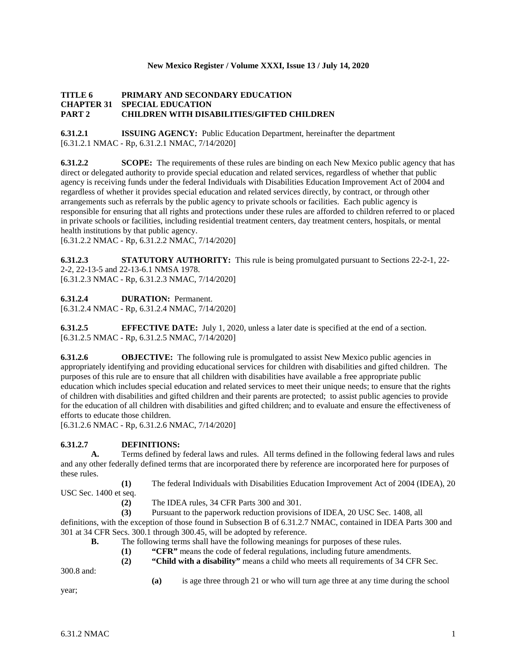## **New Mexico Register / Volume XXXI, Issue 13 / July 14, 2020**

## **TITLE 6 PRIMARY AND SECONDARY EDUCATION CHAPTER 31 SPECIAL EDUCATION PART 2 CHILDREN WITH DISABILITIES/GIFTED CHILDREN**

**6.31.2.1 ISSUING AGENCY:** Public Education Department, hereinafter the department [6.31.2.1 NMAC - Rp, 6.31.2.1 NMAC, 7/14/2020]

**6.31.2.2 SCOPE:** The requirements of these rules are binding on each New Mexico public agency that has direct or delegated authority to provide special education and related services, regardless of whether that public agency is receiving funds under the federal Individuals with Disabilities Education Improvement Act of 2004 and regardless of whether it provides special education and related services directly, by contract, or through other arrangements such as referrals by the public agency to private schools or facilities. Each public agency is responsible for ensuring that all rights and protections under these rules are afforded to children referred to or placed in private schools or facilities, including residential treatment centers, day treatment centers, hospitals, or mental health institutions by that public agency.

[6.31.2.2 NMAC - Rp, 6.31.2.2 NMAC, 7/14/2020]

**6.31.2.3 STATUTORY AUTHORITY:** This rule is being promulgated pursuant to Sections 22-2-1, 22- 2-2, 22-13-5 and 22-13-6.1 NMSA 1978.

[6.31.2.3 NMAC - Rp, 6.31.2.3 NMAC, 7/14/2020]

**6.31.2.4 DURATION:** Permanent.

[6.31.2.4 NMAC - Rp, 6.31.2.4 NMAC, 7/14/2020]

**6.31.2.5 EFFECTIVE DATE:** July 1, 2020, unless a later date is specified at the end of a section. [6.31.2.5 NMAC - Rp, 6.31.2.5 NMAC, 7/14/2020]

**6.31.2.6 OBJECTIVE:** The following rule is promulgated to assist New Mexico public agencies in appropriately identifying and providing educational services for children with disabilities and gifted children. The purposes of this rule are to ensure that all children with disabilities have available a free appropriate public education which includes special education and related services to meet their unique needs; to ensure that the rights of children with disabilities and gifted children and their parents are protected; to assist public agencies to provide for the education of all children with disabilities and gifted children; and to evaluate and ensure the effectiveness of efforts to educate those children.

[6.31.2.6 NMAC - Rp, 6.31.2.6 NMAC, 7/14/2020]

# **6.31.2.7 DEFINITIONS:**

**A.** Terms defined by federal laws and rules. All terms defined in the following federal laws and rules and any other federally defined terms that are incorporated there by reference are incorporated here for purposes of these rules.

**(1)** The federal Individuals with Disabilities Education Improvement Act of 2004 (IDEA), 20 USC Sec. 1400 et seq.

**(2)** The IDEA rules, 34 CFR Parts 300 and 301.

**(3)** Pursuant to the paperwork reduction provisions of IDEA, 20 USC Sec. 1408, all definitions, with the exception of those found in Subsection B of 6.31.2.7 NMAC, contained in IDEA Parts 300 and 301 at 34 CFR Secs. 300.1 through 300.45, will be adopted by reference.

- **B.** The following terms shall have the following meanings for purposes of these rules.
	- **(1) "CFR"** means the code of federal regulations, including future amendments.
		- **(2) "Child with a disability"** means a child who meets all requirements of 34 CFR Sec.

300.8 and:

**(a)** is age three through 21 or who will turn age three at any time during the school

year;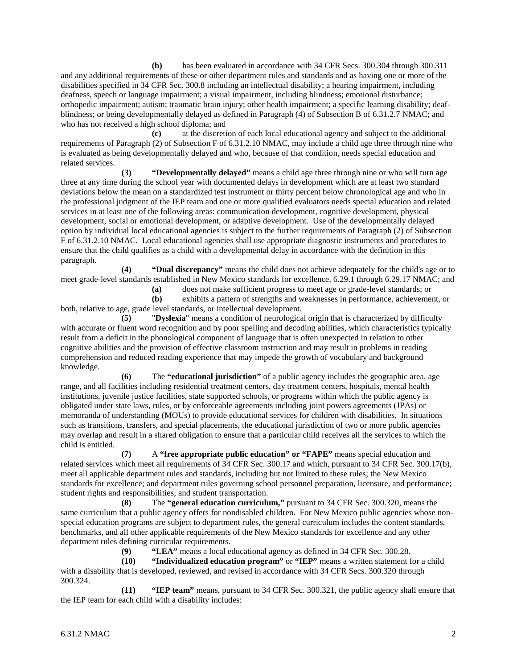**(b)** has been evaluated in accordance with 34 CFR Secs. 300.304 through 300.311 and any additional requirements of these or other department rules and standards and as having one or more of the disabilities specified in 34 CFR Sec. 300.8 including an intellectual disability; a hearing impairment, including deafness, speech or language impairment; a visual impairment, including blindness; emotional disturbance; orthopedic impairment; autism; traumatic brain injury; other health impairment; a specific learning disability; deafblindness; or being developmentally delayed as defined in Paragraph (4) of Subsection B of 6.31.2.7 NMAC; and who has not received a high school diploma; and

**(c)** at the discretion of each local educational agency and subject to the additional requirements of Paragraph (2) of Subsection F of 6.31.2.10 NMAC, may include a child age three through nine who is evaluated as being developmentally delayed and who, because of that condition, needs special education and related services.

**(3) "Developmentally delayed"** means a child age three through nine or who will turn age three at any time during the school year with documented delays in development which are at least two standard deviations below the mean on a standardized test instrument or thirty percent below chronological age and who in the professional judgment of the IEP team and one or more qualified evaluators needs special education and related services in at least one of the following areas: communication development, cognitive development, physical development, social or emotional development, or adaptive development. Use of the developmentally delayed option by individual local educational agencies is subject to the further requirements of Paragraph (2) of Subsection F of 6.31.2.10 NMAC. Local educational agencies shall use appropriate diagnostic instruments and procedures to ensure that the child qualifies as a child with a developmental delay in accordance with the definition in this paragraph.

**(4) "Dual discrepancy"** means the child does not achieve adequately for the child's age or to meet grade-level standards established in New Mexico standards for excellence, 6.29.1 through 6.29.17 NMAC; and

**(a)** does not make sufficient progress to meet age or grade-level standards; or

**(b)** exhibits a pattern of strengths and weaknesses in performance, achievement, or both, relative to age, grade level standards, or intellectual development.

**(5)** "**Dyslexia**" means a condition of neurological origin that is characterized by difficulty with accurate or fluent word recognition and by poor spelling and decoding abilities, which characteristics typically result from a deficit in the phonological component of language that is often unexpected in relation to other cognitive abilities and the provision of effective classroom instruction and may result in problems in reading comprehension and reduced reading experience that may impede the growth of vocabulary and background knowledge.

**(6)** The **"educational jurisdiction"** of a public agency includes the geographic area, age range, and all facilities including residential treatment centers, day treatment centers, hospitals, mental health institutions, juvenile justice facilities, state supported schools, or programs within which the public agency is obligated under state laws, rules, or by enforceable agreements including joint powers agreements (JPAs) or memoranda of understanding (MOUs) to provide educational services for children with disabilities. In situations such as transitions, transfers, and special placements, the educational jurisdiction of two or more public agencies may overlap and result in a shared obligation to ensure that a particular child receives all the services to which the child is entitled.

**(7)** A **"free appropriate public education" or "FAPE"** means special education and related services which meet all requirements of 34 CFR Sec. 300.17 and which, pursuant to 34 CFR Sec. 300.17(b), meet all applicable department rules and standards, including but not limited to these rules; the New Mexico standards for excellence; and department rules governing school personnel preparation, licensure, and performance; student rights and responsibilities; and student transportation.

**(8)** The **"general education curriculum,"** pursuant to 34 CFR Sec. 300.320, means the same curriculum that a public agency offers for nondisabled children. For New Mexico public agencies whose nonspecial education programs are subject to department rules, the general curriculum includes the content standards, benchmarks, and all other applicable requirements of the New Mexico standards for excellence and any other department rules defining curricular requirements.

**(9) "LEA"** means a local educational agency as defined in 34 CFR Sec. 300.28.

**(10) "Individualized education program"** or **"IEP"** means a written statement for a child with a disability that is developed, reviewed, and revised in accordance with 34 CFR Secs. 300.320 through 300.324.

**(11) "IEP team"** means, pursuant to 34 CFR Sec. 300.321, the public agency shall ensure that the IEP team for each child with a disability includes: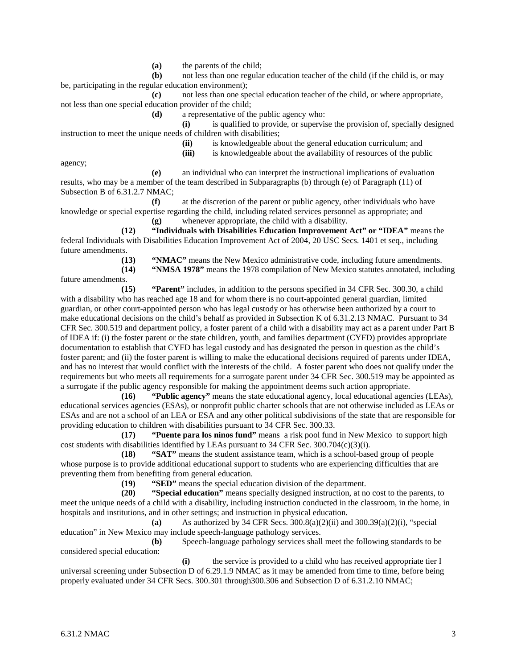**(a)** the parents of the child;

**(b)** not less than one regular education teacher of the child (if the child is, or may be, participating in the regular education environment);

**(c)** not less than one special education teacher of the child, or where appropriate, not less than one special education provider of the child;

**(d)** a representative of the public agency who:

**(i)** is qualified to provide, or supervise the provision of, specially designed instruction to meet the unique needs of children with disabilities;

**(ii)** is knowledgeable about the general education curriculum; and

(iii) is knowledgeable about the availability of resources of the public

agency;

**(e)** an individual who can interpret the instructional implications of evaluation results, who may be a member of the team described in Subparagraphs (b) through (e) of Paragraph (11) of Subsection B of 6.31.2.7 NMAC;

**(f)** at the discretion of the parent or public agency, other individuals who have knowledge or special expertise regarding the child, including related services personnel as appropriate; and

**(g)** whenever appropriate, the child with a disability.

**(12) "Individuals with Disabilities Education Improvement Act" or "IDEA"** means the federal Individuals with Disabilities Education Improvement Act of 2004, 20 USC Secs. 1401 et seq., including future amendments.

**(13) "NMAC"** means the New Mexico administrative code, including future amendments. **(14) "NMSA 1978"** means the 1978 compilation of New Mexico statutes annotated, including

future amendments.

**(15) "Parent"** includes, in addition to the persons specified in 34 CFR Sec. 300.30, a child with a disability who has reached age 18 and for whom there is no court-appointed general guardian, limited guardian, or other court-appointed person who has legal custody or has otherwise been authorized by a court to make educational decisions on the child's behalf as provided in Subsection K of 6.31.2.13 NMAC. Pursuant to 34 CFR Sec. 300.519 and department policy, a foster parent of a child with a disability may act as a parent under Part B of IDEA if: (i) the foster parent or the state children, youth, and families department (CYFD) provides appropriate documentation to establish that CYFD has legal custody and has designated the person in question as the child's foster parent; and (ii) the foster parent is willing to make the educational decisions required of parents under IDEA, and has no interest that would conflict with the interests of the child. A foster parent who does not qualify under the requirements but who meets all requirements for a surrogate parent under 34 CFR Sec. 300.519 may be appointed as a surrogate if the public agency responsible for making the appointment deems such action appropriate.

**(16) "Public agency"** means the state educational agency, local educational agencies (LEAs), educational services agencies (ESAs), or nonprofit public charter schools that are not otherwise included as LEAs or ESAs and are not a school of an LEA or ESA and any other political subdivisions of the state that are responsible for providing education to children with disabilities pursuant to 34 CFR Sec. 300.33.

**(17) "Puente para los ninos fund"** means a risk pool fund in New Mexico to support high cost students with disabilities identified by LEAs pursuant to 34 CFR Sec. 300.704(c)(3)(i).

**(18) "SAT"** means the student assistance team, which is a school-based group of people whose purpose is to provide additional educational support to students who are experiencing difficulties that are preventing them from benefiting from general education.

**(19) "SED"** means the special education division of the department.

**(20) "Special education"** means specially designed instruction, at no cost to the parents, to meet the unique needs of a child with a disability, including instruction conducted in the classroom, in the home, in hospitals and institutions, and in other settings; and instruction in physical education.

**(a)** As authorized by 34 CFR Secs. 300.8(a)(2)(ii) and 300.39(a)(2)(i), "special education" in New Mexico may include speech-language pathology services.

**(b)** Speech-language pathology services shall meet the following standards to be considered special education:

**(i)** the service is provided to a child who has received appropriate tier I universal screening under Subsection D of 6.29.1.9 NMAC as it may be amended from time to time, before being properly evaluated under 34 CFR Secs. 300.301 through300.306 and Subsection D of 6.31.2.10 NMAC;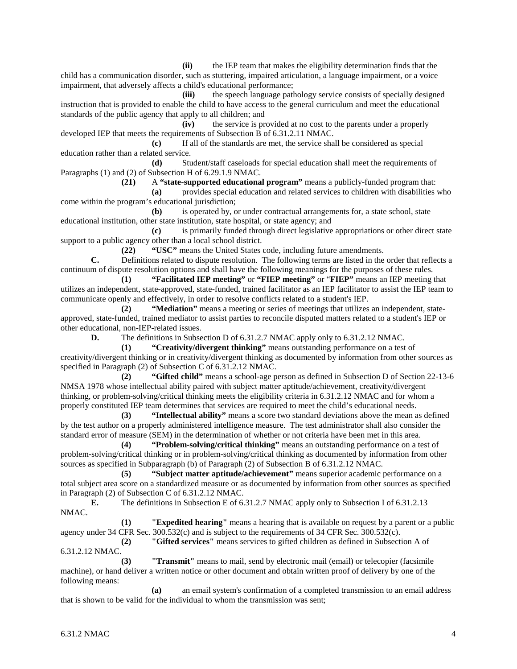**(ii)** the IEP team that makes the eligibility determination finds that the child has a communication disorder, such as stuttering, impaired articulation, a language impairment, or a voice impairment, that adversely affects a child's educational performance;

**(iii)** the speech language pathology service consists of specially designed instruction that is provided to enable the child to have access to the general curriculum and meet the educational standards of the public agency that apply to all children; and

**(iv)** the service is provided at no cost to the parents under a properly developed IEP that meets the requirements of Subsection B of 6.31.2.11 NMAC.

**(c)** If all of the standards are met, the service shall be considered as special education rather than a related service.

**(d)** Student/staff caseloads for special education shall meet the requirements of Paragraphs (1) and (2) of Subsection H of 6.29.1.9 NMAC.

**(21)** A **"state-supported educational program"** means a publicly-funded program that:

**(a)** provides special education and related services to children with disabilities who come within the program's educational jurisdiction;

**(b)** is operated by, or under contractual arrangements for, a state school, state educational institution, other state institution, state hospital, or state agency; and

**(c)** is primarily funded through direct legislative appropriations or other direct state support to a public agency other than a local school district.

**(22) "USC"** means the United States code, including future amendments.

**C.** Definitions related to dispute resolution. The following terms are listed in the order that reflects a continuum of dispute resolution options and shall have the following meanings for the purposes of these rules.

**(1) "Facilitated IEP meeting"** or **"FIEP meeting"** or "**FIEP"** means an IEP meeting that utilizes an independent, state-approved, state-funded, trained facilitator as an IEP facilitator to assist the IEP team to communicate openly and effectively, in order to resolve conflicts related to a student's IEP.

**(2) "Mediation"** means a meeting or series of meetings that utilizes an independent, stateapproved, state-funded, trained mediator to assist parties to reconcile disputed matters related to a student's IEP or other educational, non-IEP-related issues.

**D.** The definitions in Subsection D of 6.31.2.7 NMAC apply only to 6.31.2.12 NMAC.

**(1) "Creativity/divergent thinking"** means outstanding performance on a test of creativity/divergent thinking or in creativity/divergent thinking as documented by information from other sources as specified in Paragraph (2) of Subsection C of 6.31.2.12 NMAC.

**(2) "Gifted child"** means a school-age person as defined in Subsection D of Section 22-13-6 NMSA 1978 whose intellectual ability paired with subject matter aptitude/achievement, creativity/divergent thinking, or problem-solving/critical thinking meets the eligibility criteria in 6.31.2.12 NMAC and for whom a properly constituted IEP team determines that services are required to meet the child's educational needs.

**(3) "Intellectual ability"** means a score two standard deviations above the mean as defined by the test author on a properly administered intelligence measure. The test administrator shall also consider the standard error of measure (SEM) in the determination of whether or not criteria have been met in this area.

**(4) "Problem-solving/critical thinking"** means an outstanding performance on a test of problem-solving/critical thinking or in problem-solving/critical thinking as documented by information from other sources as specified in Subparagraph (b) of Paragraph (2) of Subsection B of 6.31.2.12 NMAC.

**(5) "Subject matter aptitude/achievement"** means superior academic performance on a total subject area score on a standardized measure or as documented by information from other sources as specified in Paragraph (2) of Subsection C of 6.31.2.12 NMAC.

**E.** The definitions in Subsection E of 6.31.2.7 NMAC apply only to Subsection I of 6.31.2.13 NMAC.

**(1) "Expedited hearing"** means a hearing that is available on request by a parent or a public agency under 34 CFR Sec. 300.532(c) and is subject to the requirements of 34 CFR Sec. 300.532(c).

**(2) "Gifted services"** means services to gifted children as defined in Subsection A of 6.31.2.12 NMAC.

**(3) "Transmit"** means to mail, send by electronic mail (email) or telecopier (facsimile machine), or hand deliver a written notice or other document and obtain written proof of delivery by one of the following means:

**(a)** an email system's confirmation of a completed transmission to an email address that is shown to be valid for the individual to whom the transmission was sent;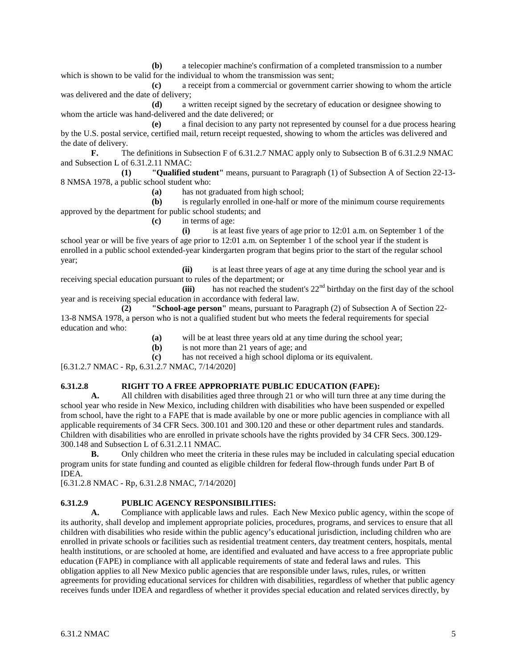**(b)** a telecopier machine's confirmation of a completed transmission to a number which is shown to be valid for the individual to whom the transmission was sent;

**(c)** a receipt from a commercial or government carrier showing to whom the article was delivered and the date of delivery;

**(d)** a written receipt signed by the secretary of education or designee showing to whom the article was hand-delivered and the date delivered; or

**(e)** a final decision to any party not represented by counsel for a due process hearing by the U.S. postal service, certified mail, return receipt requested, showing to whom the articles was delivered and the date of delivery.

**F.** The definitions in Subsection F of 6.31.2.7 NMAC apply only to Subsection B of 6.31.2.9 NMAC and Subsection L of 6.31.2.11 NMAC:

**(1) "Qualified student"** means, pursuant to Paragraph (1) of Subsection A of Section 22-13- 8 NMSA 1978, a public school student who:

**(a)** has not graduated from high school;

**(b)** is regularly enrolled in one-half or more of the minimum course requirements approved by the department for public school students; and

**(c)** in terms of age:

**(i)** is at least five years of age prior to 12:01 a.m. on September 1 of the school year or will be five years of age prior to 12:01 a.m. on September 1 of the school year if the student is enrolled in a public school extended-year kindergarten program that begins prior to the start of the regular school year;

**(ii)** is at least three years of age at any time during the school year and is receiving special education pursuant to rules of the department; or

 $(iii)$  has not reached the student's  $22<sup>nd</sup>$  birthday on the first day of the school year and is receiving special education in accordance with federal law.<br>(2) **School-age person**" means, pursuant to Pa

**(2) "School-age person"** means, pursuant to Paragraph (2) of Subsection A of Section 22- 13-8 NMSA 1978, a person who is not a qualified student but who meets the federal requirements for special education and who:

**(a)** will be at least three years old at any time during the school year;

**(b)** is not more than 21 years of age; and

**(c)** has not received a high school diploma or its equivalent.

[6.31.2.7 NMAC - Rp, 6.31.2.7 NMAC, 7/14/2020]

# **6.31.2.8 RIGHT TO A FREE APPROPRIATE PUBLIC EDUCATION (FAPE):**<br>**A.** All children with disabilities aged three through 21 or who will turn three at a

**A.** All children with disabilities aged three through 21 or who will turn three at any time during the school year who reside in New Mexico, including children with disabilities who have been suspended or expelled from school, have the right to a FAPE that is made available by one or more public agencies in compliance with all applicable requirements of 34 CFR Secs. 300.101 and 300.120 and these or other department rules and standards. Children with disabilities who are enrolled in private schools have the rights provided by 34 CFR Secs. 300.129- 300.148 and Subsection L of 6.31.2.11 NMAC.

**B.** Only children who meet the criteria in these rules may be included in calculating special education program units for state funding and counted as eligible children for federal flow-through funds under Part B of IDEA.

[6.31.2.8 NMAC - Rp, 6.31.2.8 NMAC, 7/14/2020]

# **6.31.2.9 PUBLIC AGENCY RESPONSIBILITIES:**<br>**A.** Compliance with applicable laws and rules. E

**A.** Compliance with applicable laws and rules. Each New Mexico public agency, within the scope of its authority, shall develop and implement appropriate policies, procedures, programs, and services to ensure that all children with disabilities who reside within the public agency's educational jurisdiction, including children who are enrolled in private schools or facilities such as residential treatment centers, day treatment centers, hospitals, mental health institutions, or are schooled at home, are identified and evaluated and have access to a free appropriate public education (FAPE) in compliance with all applicable requirements of state and federal laws and rules. This obligation applies to all New Mexico public agencies that are responsible under laws, rules, rules, or written agreements for providing educational services for children with disabilities, regardless of whether that public agency receives funds under IDEA and regardless of whether it provides special education and related services directly, by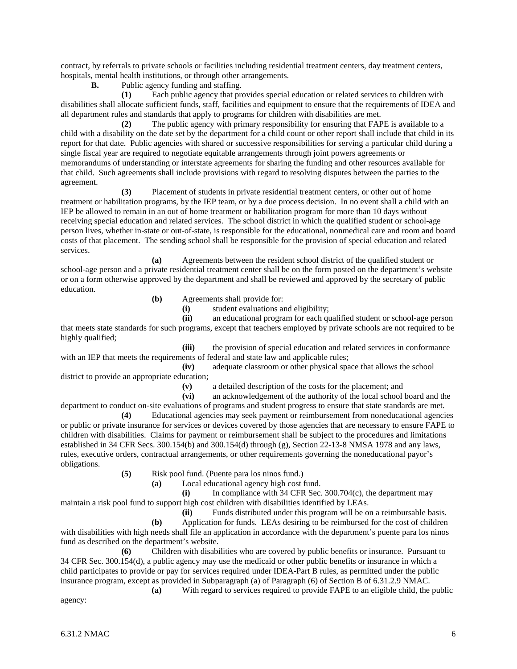contract, by referrals to private schools or facilities including residential treatment centers, day treatment centers, hospitals, mental health institutions, or through other arrangements.

**B.** Public agency funding and staffing.

**(1)** Each public agency that provides special education or related services to children with disabilities shall allocate sufficient funds, staff, facilities and equipment to ensure that the requirements of IDEA and all department rules and standards that apply to programs for children with disabilities are met.

**(2)** The public agency with primary responsibility for ensuring that FAPE is available to a child with a disability on the date set by the department for a child count or other report shall include that child in its report for that date. Public agencies with shared or successive responsibilities for serving a particular child during a single fiscal year are required to negotiate equitable arrangements through joint powers agreements or memorandums of understanding or interstate agreements for sharing the funding and other resources available for that child. Such agreements shall include provisions with regard to resolving disputes between the parties to the agreement.

**(3)** Placement of students in private residential treatment centers, or other out of home treatment or habilitation programs, by the IEP team, or by a due process decision. In no event shall a child with an IEP be allowed to remain in an out of home treatment or habilitation program for more than 10 days without receiving special education and related services. The school district in which the qualified student or school-age person lives, whether in-state or out-of-state, is responsible for the educational, nonmedical care and room and board costs of that placement. The sending school shall be responsible for the provision of special education and related services.

**(a)** Agreements between the resident school district of the qualified student or school-age person and a private residential treatment center shall be on the form posted on the department's website or on a form otherwise approved by the department and shall be reviewed and approved by the secretary of public education.

- **(b)** Agreements shall provide for:
	- **(i)** student evaluations and eligibility;

**(ii)** an educational program for each qualified student or school-age person that meets state standards for such programs, except that teachers employed by private schools are not required to be highly qualified;

**(iii)** the provision of special education and related services in conformance with an IEP that meets the requirements of federal and state law and applicable rules;

**(iv)** adequate classroom or other physical space that allows the school district to provide an appropriate education;

(v) a detailed description of the costs for the placement; and (vi) an acknowledgement of the authority of the local school l

**(vi)** an acknowledgement of the authority of the local school board and the

department to conduct on-site evaluations of programs and student progress to ensure that state standards are met. **(4)** Educational agencies may seek payment or reimbursement from noneducational agencies

or public or private insurance for services or devices covered by those agencies that are necessary to ensure FAPE to children with disabilities. Claims for payment or reimbursement shall be subject to the procedures and limitations established in 34 CFR Secs. 300.154(b) and 300.154(d) through (g), Section 22-13-8 NMSA 1978 and any laws, rules, executive orders, contractual arrangements, or other requirements governing the noneducational payor's obligations.

**(5)** Risk pool fund. (Puente para los ninos fund.)

**(a)** Local educational agency high cost fund.

**(i)** In compliance with 34 CFR Sec. 300.704(c), the department may maintain a risk pool fund to support high cost children with disabilities identified by LEAs.

**(ii)** Funds distributed under this program will be on a reimbursable basis.

**(b)** Application for funds. LEAs desiring to be reimbursed for the cost of children with disabilities with high needs shall file an application in accordance with the department's puente para los ninos fund as described on the department's website.

**(6)** Children with disabilities who are covered by public benefits or insurance. Pursuant to 34 CFR Sec. 300.154(d), a public agency may use the medicaid or other public benefits or insurance in which a child participates to provide or pay for services required under IDEA-Part B rules, as permitted under the public insurance program, except as provided in Subparagraph (a) of Paragraph (6) of Section B of 6.31.2.9 NMAC.

**(a)** With regard to services required to provide FAPE to an eligible child, the public agency: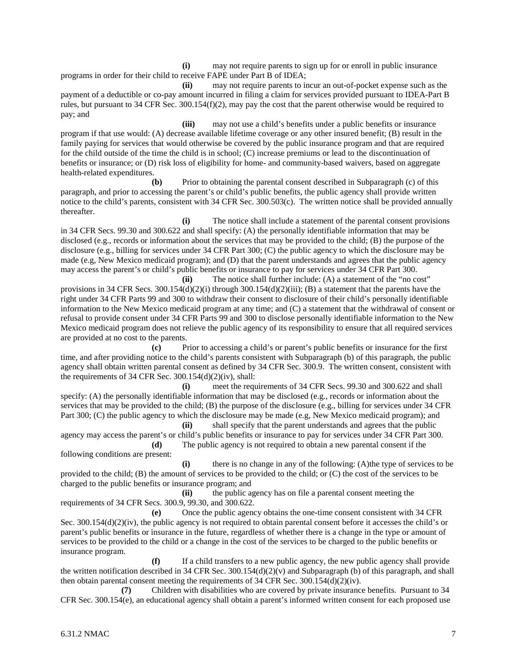**(i)** may not require parents to sign up for or enroll in public insurance programs in order for their child to receive FAPE under Part B of IDEA;

**(ii)** may not require parents to incur an out-of-pocket expense such as the payment of a deductible or co-pay amount incurred in filing a claim for services provided pursuant to IDEA-Part B rules, but pursuant to 34 CFR Sec. 300.154(f)(2), may pay the cost that the parent otherwise would be required to pay; and

**(iii)** may not use a child's benefits under a public benefits or insurance program if that use would: (A) decrease available lifetime coverage or any other insured benefit; (B) result in the family paying for services that would otherwise be covered by the public insurance program and that are required for the child outside of the time the child is in school; (C) increase premiums or lead to the discontinuation of benefits or insurance; or (D) risk loss of eligibility for home- and community-based waivers, based on aggregate health-related expenditures.

**(b)** Prior to obtaining the parental consent described in Subparagraph (c) of this paragraph, and prior to accessing the parent's or child's public benefits, the public agency shall provide written notice to the child's parents, consistent with 34 CFR Sec. 300.503(c). The written notice shall be provided annually thereafter.

**(i)** The notice shall include a statement of the parental consent provisions in 34 CFR Secs. 99.30 and 300.622 and shall specify: (A) the personally identifiable information that may be disclosed (e.g., records or information about the services that may be provided to the child; (B) the purpose of the disclosure (e.g., billing for services under 34 CFR Part 300; (C) the public agency to which the disclosure may be made (e.g, New Mexico medicaid program); and (D) that the parent understands and agrees that the public agency may access the parent's or child's public benefits or insurance to pay for services under 34 CFR Part 300.

**(ii)** The notice shall further include: (A) a statement of the "no cost" provisions in 34 CFR Secs.  $300.154(d)(2)(i)$  through  $300.154(d)(2)(iii)$ ; (B) a statement that the parents have the right under 34 CFR Parts 99 and 300 to withdraw their consent to disclosure of their child's personally identifiable information to the New Mexico medicaid program at any time; and (C) a statement that the withdrawal of consent or refusal to provide consent under 34 CFR Parts 99 and 300 to disclose personally identifiable information to the New Mexico medicaid program does not relieve the public agency of its responsibility to ensure that all required services are provided at no cost to the parents.

**(c)** Prior to accessing a child's or parent's public benefits or insurance for the first time, and after providing notice to the child's parents consistent with Subparagraph (b) of this paragraph, the public agency shall obtain written parental consent as defined by 34 CFR Sec. 300.9. The written consent, consistent with the requirements of 34 CFR Sec. 300.154(d)(2)(iv), shall:

**(i)** meet the requirements of 34 CFR Secs. 99.30 and 300.622 and shall specify: (A) the personally identifiable information that may be disclosed (e.g., records or information about the services that may be provided to the child; (B) the purpose of the disclosure (e.g., billing for services under 34 CFR Part 300; (C) the public agency to which the disclosure may be made (e.g, New Mexico medicaid program); and

**(ii)** shall specify that the parent understands and agrees that the public agency may access the parent's or child's public benefits or insurance to pay for services under 34 CFR Part 300. **(d)** The public agency is not required to obtain a new parental consent if the

following conditions are present: **(i)** there is no change in any of the following: (A)the type of services to be

provided to the child; (B) the amount of services to be provided to the child; or (C) the cost of the services to be charged to the public benefits or insurance program; and

**(ii)** the public agency has on file a parental consent meeting the requirements of 34 CFR Secs. 300.9, 99.30, and 300.622.

**(e)** Once the public agency obtains the one-time consent consistent with 34 CFR Sec. 300.154(d)(2)(iv), the public agency is not required to obtain parental consent before it accesses the child's or parent's public benefits or insurance in the future, regardless of whether there is a change in the type or amount of services to be provided to the child or a change in the cost of the services to be charged to the public benefits or insurance program.

**(f)** If a child transfers to a new public agency, the new public agency shall provide the written notification described in 34 CFR Sec.  $300.154(d)(2)(v)$  and Subparagraph (b) of this paragraph, and shall then obtain parental consent meeting the requirements of 34 CFR Sec. 300.154(d)(2)(iv).

**(7)** Children with disabilities who are covered by private insurance benefits. Pursuant to 34 CFR Sec. 300.154(e), an educational agency shall obtain a parent's informed written consent for each proposed use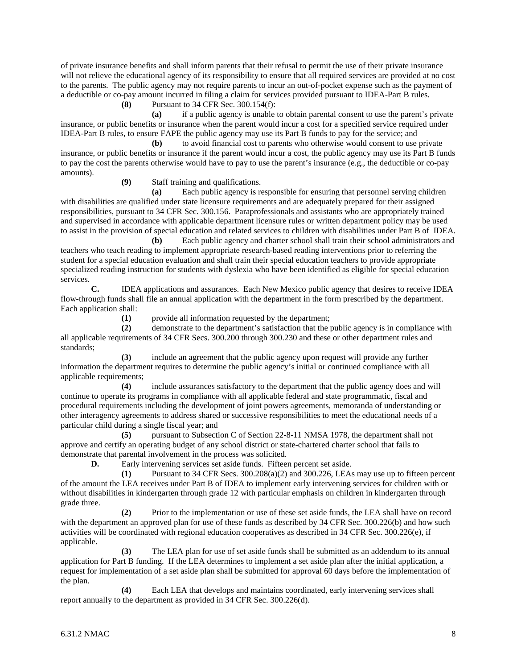of private insurance benefits and shall inform parents that their refusal to permit the use of their private insurance will not relieve the educational agency of its responsibility to ensure that all required services are provided at no cost to the parents. The public agency may not require parents to incur an out-of-pocket expense such as the payment of a deductible or co-pay amount incurred in filing a claim for services provided pursuant to IDEA-Part B rules.

**(8)** Pursuant to 34 CFR Sec. 300.154(f):

**(a)** if a public agency is unable to obtain parental consent to use the parent's private insurance, or public benefits or insurance when the parent would incur a cost for a specified service required under IDEA-Part B rules, to ensure FAPE the public agency may use its Part B funds to pay for the service; and

**(b)** to avoid financial cost to parents who otherwise would consent to use private insurance, or public benefits or insurance if the parent would incur a cost, the public agency may use its Part B funds to pay the cost the parents otherwise would have to pay to use the parent's insurance (e.g., the deductible or co-pay amounts).

**(9)** Staff training and qualifications.

**(a)** Each public agency is responsible for ensuring that personnel serving children with disabilities are qualified under state licensure requirements and are adequately prepared for their assigned responsibilities, pursuant to 34 CFR Sec. 300.156. Paraprofessionals and assistants who are appropriately trained and supervised in accordance with applicable department licensure rules or written department policy may be used to assist in the provision of special education and related services to children with disabilities under Part B of IDEA.

**(b)** Each public agency and charter school shall train their school administrators and teachers who teach reading to implement appropriate research-based reading interventions prior to referring the student for a special education evaluation and shall train their special education teachers to provide appropriate specialized reading instruction for students with dyslexia who have been identified as eligible for special education services.

**C.** IDEA applications and assurances. Each New Mexico public agency that desires to receive IDEA flow-through funds shall file an annual application with the department in the form prescribed by the department. Each application shall:

**(1)** provide all information requested by the department;

**(2)** demonstrate to the department's satisfaction that the public agency is in compliance with all applicable requirements of 34 CFR Secs. 300.200 through 300.230 and these or other department rules and standards;

**(3)** include an agreement that the public agency upon request will provide any further information the department requires to determine the public agency's initial or continued compliance with all applicable requirements;

**(4)** include assurances satisfactory to the department that the public agency does and will continue to operate its programs in compliance with all applicable federal and state programmatic, fiscal and procedural requirements including the development of joint powers agreements, memoranda of understanding or other interagency agreements to address shared or successive responsibilities to meet the educational needs of a particular child during a single fiscal year; and

**(5)** pursuant to Subsection C of Section 22-8-11 NMSA 1978, the department shall not approve and certify an operating budget of any school district or state-chartered charter school that fails to demonstrate that parental involvement in the process was solicited.

**D.** Early intervening services set aside funds. Fifteen percent set aside.

**(1)** Pursuant to 34 CFR Secs. 300.208(a)(2) and 300.226, LEAs may use up to fifteen percent of the amount the LEA receives under Part B of IDEA to implement early intervening services for children with or without disabilities in kindergarten through grade 12 with particular emphasis on children in kindergarten through grade three.

**(2)** Prior to the implementation or use of these set aside funds, the LEA shall have on record with the department an approved plan for use of these funds as described by 34 CFR Sec. 300.226(b) and how such activities will be coordinated with regional education cooperatives as described in 34 CFR Sec. 300.226(e), if applicable.

**(3)** The LEA plan for use of set aside funds shall be submitted as an addendum to its annual application for Part B funding. If the LEA determines to implement a set aside plan after the initial application, a request for implementation of a set aside plan shall be submitted for approval 60 days before the implementation of the plan.

**(4)** Each LEA that develops and maintains coordinated, early intervening services shall report annually to the department as provided in 34 CFR Sec. 300.226(d).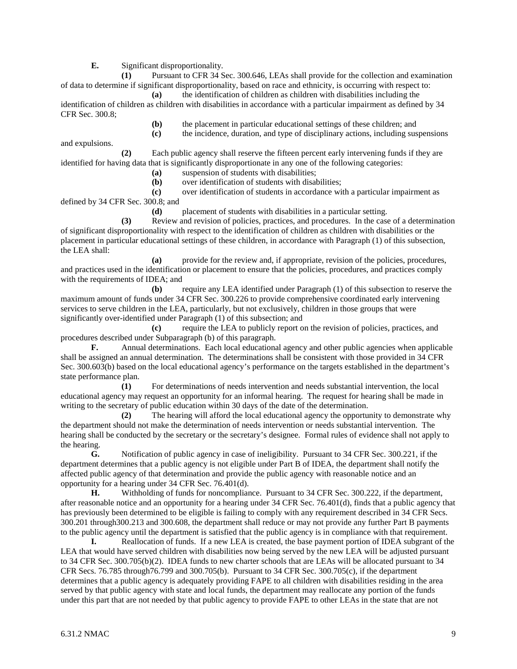**E.** Significant disproportionality.

**(1)** Pursuant to CFR 34 Sec. 300.646, LEAs shall provide for the collection and examination of data to determine if significant disproportionality, based on race and ethnicity, is occurring with respect to:

**(a)** the identification of children as children with disabilities including the identification of children as children with disabilities in accordance with a particular impairment as defined by 34 CFR Sec. 300.8;

**(b)** the placement in particular educational settings of these children; and

**(c)** the incidence, duration, and type of disciplinary actions, including suspensions and expulsions.

**(2)** Each public agency shall reserve the fifteen percent early intervening funds if they are identified for having data that is significantly disproportionate in any one of the following categories:

**(a)** suspension of students with disabilities;

**(b)** over identification of students with disabilities;

**(c)** over identification of students in accordance with a particular impairment as defined by 34 CFR Sec. 300.8; and

**(d)** placement of students with disabilities in a particular setting.

**(3)** Review and revision of policies, practices, and procedures. In the case of a determination of significant disproportionality with respect to the identification of children as children with disabilities or the placement in particular educational settings of these children, in accordance with Paragraph (1) of this subsection, the LEA shall:

**(a)** provide for the review and, if appropriate, revision of the policies, procedures, and practices used in the identification or placement to ensure that the policies, procedures, and practices comply with the requirements of IDEA; and

**(b)** require any LEA identified under Paragraph (1) of this subsection to reserve the maximum amount of funds under 34 CFR Sec. 300.226 to provide comprehensive coordinated early intervening services to serve children in the LEA, particularly, but not exclusively, children in those groups that were significantly over-identified under Paragraph (1) of this subsection; and

**(c)** require the LEA to publicly report on the revision of policies, practices, and procedures described under Subparagraph (b) of this paragraph.

**F.** Annual determinations. Each local educational agency and other public agencies when applicable shall be assigned an annual determination. The determinations shall be consistent with those provided in 34 CFR Sec. 300.603(b) based on the local educational agency's performance on the targets established in the department's state performance plan.

**(1)** For determinations of needs intervention and needs substantial intervention, the local educational agency may request an opportunity for an informal hearing. The request for hearing shall be made in writing to the secretary of public education within 30 days of the date of the determination.

**(2)** The hearing will afford the local educational agency the opportunity to demonstrate why the department should not make the determination of needs intervention or needs substantial intervention. The hearing shall be conducted by the secretary or the secretary's designee. Formal rules of evidence shall not apply to the hearing.

**G.** Notification of public agency in case of ineligibility. Pursuant to 34 CFR Sec. 300.221, if the department determines that a public agency is not eligible under Part B of IDEA, the department shall notify the affected public agency of that determination and provide the public agency with reasonable notice and an opportunity for a hearing under 34 CFR Sec. 76.401(d).

**H.** Withholding of funds for noncompliance. Pursuant to 34 CFR Sec. 300.222, if the department, after reasonable notice and an opportunity for a hearing under 34 CFR Sec. 76.401(d), finds that a public agency that has previously been determined to be eligible is failing to comply with any requirement described in 34 CFR Secs. 300.201 through300.213 and 300.608, the department shall reduce or may not provide any further Part B payments to the public agency until the department is satisfied that the public agency is in compliance with that requirement.

**I.** Reallocation of funds. If a new LEA is created, the base payment portion of IDEA subgrant of the LEA that would have served children with disabilities now being served by the new LEA will be adjusted pursuant to 34 CFR Sec. 300.705(b)(2). IDEA funds to new charter schools that are LEAs will be allocated pursuant to 34 CFR Secs. 76.785 through76.799 and 300.705(b). Pursuant to 34 CFR Sec. 300.705(c), if the department determines that a public agency is adequately providing FAPE to all children with disabilities residing in the area served by that public agency with state and local funds, the department may reallocate any portion of the funds under this part that are not needed by that public agency to provide FAPE to other LEAs in the state that are not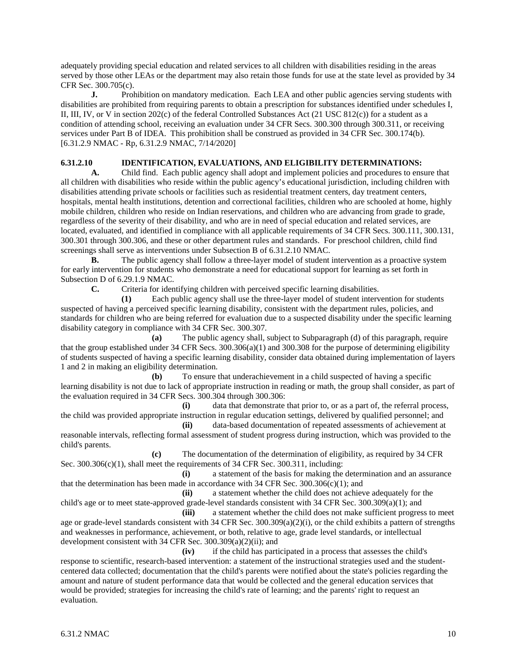adequately providing special education and related services to all children with disabilities residing in the areas served by those other LEAs or the department may also retain those funds for use at the state level as provided by 34 CFR Sec. 300.705(c).

**J.** Prohibition on mandatory medication. Each LEA and other public agencies serving students with disabilities are prohibited from requiring parents to obtain a prescription for substances identified under schedules I, II, III, IV, or V in section 202(c) of the federal Controlled Substances Act (21 USC 812(c)) for a student as a condition of attending school, receiving an evaluation under 34 CFR Secs. 300.300 through 300.311, or receiving services under Part B of IDEA. This prohibition shall be construed as provided in 34 CFR Sec. 300.174(b). [6.31.2.9 NMAC - Rp, 6.31.2.9 NMAC, 7/14/2020]

### **6.31.2.10 IDENTIFICATION, EVALUATIONS, AND ELIGIBILITY DETERMINATIONS:**

**A.** Child find. Each public agency shall adopt and implement policies and procedures to ensure that all children with disabilities who reside within the public agency's educational jurisdiction, including children with disabilities attending private schools or facilities such as residential treatment centers, day treatment centers, hospitals, mental health institutions, detention and correctional facilities, children who are schooled at home, highly mobile children, children who reside on Indian reservations, and children who are advancing from grade to grade, regardless of the severity of their disability, and who are in need of special education and related services, are located, evaluated, and identified in compliance with all applicable requirements of 34 CFR Secs. 300.111, 300.131, 300.301 through 300.306, and these or other department rules and standards. For preschool children, child find screenings shall serve as interventions under Subsection B of 6.31.2.10 NMAC.

**B.** The public agency shall follow a three-layer model of student intervention as a proactive system for early intervention for students who demonstrate a need for educational support for learning as set forth in Subsection D of 6.29.1.9 NMAC.

**C.** Criteria for identifying children with perceived specific learning disabilities.

**(1)** Each public agency shall use the three-layer model of student intervention for students suspected of having a perceived specific learning disability, consistent with the department rules, policies, and standards for children who are being referred for evaluation due to a suspected disability under the specific learning disability category in compliance with 34 CFR Sec. 300.307.

**(a)** The public agency shall, subject to Subparagraph (d) of this paragraph, require that the group established under 34 CFR Secs. 300.306(a)(1) and 300.308 for the purpose of determining eligibility of students suspected of having a specific learning disability, consider data obtained during implementation of layers 1 and 2 in making an eligibility determination.

**(b)** To ensure that underachievement in a child suspected of having a specific learning disability is not due to lack of appropriate instruction in reading or math, the group shall consider, as part of the evaluation required in 34 CFR Secs. 300.304 through 300.306:

**(i)** data that demonstrate that prior to, or as a part of, the referral process, the child was provided appropriate instruction in regular education settings, delivered by qualified personnel; and

**(ii)** data-based documentation of repeated assessments of achievement at reasonable intervals, reflecting formal assessment of student progress during instruction, which was provided to the child's parents.

**(c)** The documentation of the determination of eligibility, as required by 34 CFR Sec. 300.306(c)(1), shall meet the requirements of 34 CFR Sec. 300.311, including:

**(i)** a statement of the basis for making the determination and an assurance that the determination has been made in accordance with 34 CFR Sec.  $300.306(c)(1)$ ; and

**(ii)** a statement whether the child does not achieve adequately for the child's age or to meet state-approved grade-level standards consistent with 34 CFR Sec. 300.309(a)(1); and

**(iii)** a statement whether the child does not make sufficient progress to meet age or grade-level standards consistent with 34 CFR Sec.  $300.309(a)(2)(i)$ , or the child exhibits a pattern of strengths and weaknesses in performance, achievement, or both, relative to age, grade level standards, or intellectual development consistent with 34 CFR Sec. 300.309(a)(2)(ii); and

**(iv)** if the child has participated in a process that assesses the child's response to scientific, research-based intervention: a statement of the instructional strategies used and the studentcentered data collected; documentation that the child's parents were notified about the state's policies regarding the amount and nature of student performance data that would be collected and the general education services that would be provided; strategies for increasing the child's rate of learning; and the parents' right to request an evaluation.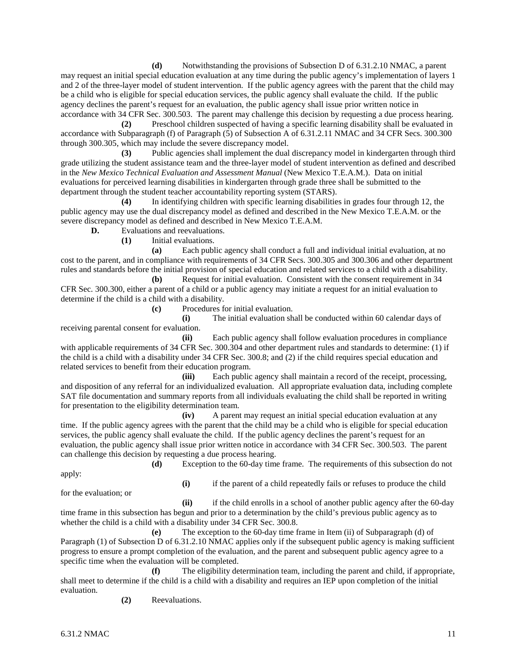**(d)** Notwithstanding the provisions of Subsection D of 6.31.2.10 NMAC, a parent may request an initial special education evaluation at any time during the public agency's implementation of layers 1 and 2 of the three-layer model of student intervention. If the public agency agrees with the parent that the child may be a child who is eligible for special education services, the public agency shall evaluate the child. If the public agency declines the parent's request for an evaluation, the public agency shall issue prior written notice in accordance with 34 CFR Sec. 300.503. The parent may challenge this decision by requesting a due process hearing.

**(2)** Preschool children suspected of having a specific learning disability shall be evaluated in accordance with Subparagraph (f) of Paragraph (5) of Subsection A of 6.31.2.11 NMAC and 34 CFR Secs. 300.300 through 300.305, which may include the severe discrepancy model.

**(3)** Public agencies shall implement the dual discrepancy model in kindergarten through third grade utilizing the student assistance team and the three-layer model of student intervention as defined and described in the *New Mexico Technical Evaluation and Assessment Manual* (New Mexico T.E.A.M.). Data on initial evaluations for perceived learning disabilities in kindergarten through grade three shall be submitted to the department through the student teacher accountability reporting system (STARS).

**(4)** In identifying children with specific learning disabilities in grades four through 12, the public agency may use the dual discrepancy model as defined and described in the New Mexico T.E.A.M. or the severe discrepancy model as defined and described in New Mexico T.E.A.M.

**D.** Evaluations and reevaluations.

**(1)** Initial evaluations.

**(a)** Each public agency shall conduct a full and individual initial evaluation, at no cost to the parent, and in compliance with requirements of 34 CFR Secs. 300.305 and 300.306 and other department rules and standards before the initial provision of special education and related services to a child with a disability.

**(b)** Request for initial evaluation. Consistent with the consent requirement in 34 CFR Sec. 300.300, either a parent of a child or a public agency may initiate a request for an initial evaluation to determine if the child is a child with a disability.

**(c)** Procedures for initial evaluation.

**(i)** The initial evaluation shall be conducted within 60 calendar days of receiving parental consent for evaluation.

**(ii)** Each public agency shall follow evaluation procedures in compliance with applicable requirements of 34 CFR Sec. 300.304 and other department rules and standards to determine: (1) if the child is a child with a disability under 34 CFR Sec. 300.8; and (2) if the child requires special education and related services to benefit from their education program.

**(iii)** Each public agency shall maintain a record of the receipt, processing, and disposition of any referral for an individualized evaluation. All appropriate evaluation data, including complete SAT file documentation and summary reports from all individuals evaluating the child shall be reported in writing for presentation to the eligibility determination team.

**(iv)** A parent may request an initial special education evaluation at any time. If the public agency agrees with the parent that the child may be a child who is eligible for special education services, the public agency shall evaluate the child. If the public agency declines the parent's request for an evaluation, the public agency shall issue prior written notice in accordance with 34 CFR Sec. 300.503. The parent can challenge this decision by requesting a due process hearing.

**(d)** Exception to the 60-day time frame. The requirements of this subsection do not apply:

for the evaluation; or

**(i)** if the parent of a child repeatedly fails or refuses to produce the child

**(ii)** if the child enrolls in a school of another public agency after the 60-day time frame in this subsection has begun and prior to a determination by the child's previous public agency as to whether the child is a child with a disability under 34 CFR Sec. 300.8.

**(e)** The exception to the 60-day time frame in Item (ii) of Subparagraph (d) of Paragraph (1) of Subsection D of 6.31.2.10 NMAC applies only if the subsequent public agency is making sufficient progress to ensure a prompt completion of the evaluation, and the parent and subsequent public agency agree to a specific time when the evaluation will be completed.

**(f)** The eligibility determination team, including the parent and child, if appropriate, shall meet to determine if the child is a child with a disability and requires an IEP upon completion of the initial evaluation.

**(2)** Reevaluations.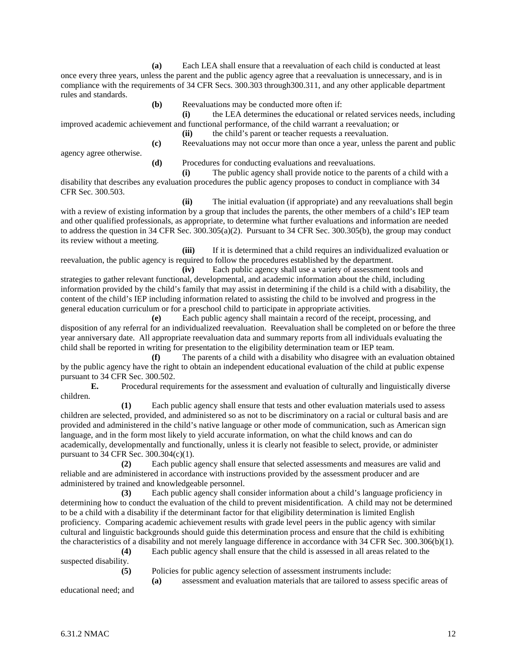**(a)** Each LEA shall ensure that a reevaluation of each child is conducted at least once every three years, unless the parent and the public agency agree that a reevaluation is unnecessary, and is in compliance with the requirements of 34 CFR Secs. 300.303 through300.311, and any other applicable department rules and standards.

**(b)** Reevaluations may be conducted more often if:

**(i)** the LEA determines the educational or related services needs, including improved academic achievement and functional performance, of the child warrant a reevaluation; or

**(ii)** the child's parent or teacher requests a reevaluation.

**(c)** Reevaluations may not occur more than once a year, unless the parent and public

agency agree otherwise.

**(d)** Procedures for conducting evaluations and reevaluations.

**(i)** The public agency shall provide notice to the parents of a child with a disability that describes any evaluation procedures the public agency proposes to conduct in compliance with 34 CFR Sec. 300.503.

**(ii)** The initial evaluation (if appropriate) and any reevaluations shall begin with a review of existing information by a group that includes the parents, the other members of a child's IEP team and other qualified professionals, as appropriate, to determine what further evaluations and information are needed to address the question in 34 CFR Sec. 300.305(a)(2). Pursuant to 34 CFR Sec. 300.305(b), the group may conduct its review without a meeting.

**(iii)** If it is determined that a child requires an individualized evaluation or reevaluation, the public agency is required to follow the procedures established by the department.

**(iv)** Each public agency shall use a variety of assessment tools and strategies to gather relevant functional, developmental, and academic information about the child, including information provided by the child's family that may assist in determining if the child is a child with a disability, the content of the child's IEP including information related to assisting the child to be involved and progress in the general education curriculum or for a preschool child to participate in appropriate activities.

**(e)** Each public agency shall maintain a record of the receipt, processing, and disposition of any referral for an individualized reevaluation. Reevaluation shall be completed on or before the three year anniversary date. All appropriate reevaluation data and summary reports from all individuals evaluating the child shall be reported in writing for presentation to the eligibility determination team or IEP team.

**(f)** The parents of a child with a disability who disagree with an evaluation obtained by the public agency have the right to obtain an independent educational evaluation of the child at public expense pursuant to 34 CFR Sec. 300.502.

**E.** Procedural requirements for the assessment and evaluation of culturally and linguistically diverse children.

**(1)** Each public agency shall ensure that tests and other evaluation materials used to assess children are selected, provided, and administered so as not to be discriminatory on a racial or cultural basis and are provided and administered in the child's native language or other mode of communication, such as American sign language, and in the form most likely to yield accurate information, on what the child knows and can do academically, developmentally and functionally, unless it is clearly not feasible to select, provide, or administer pursuant to 34 CFR Sec. 300.304(c)(1).

**(2)** Each public agency shall ensure that selected assessments and measures are valid and reliable and are administered in accordance with instructions provided by the assessment producer and are administered by trained and knowledgeable personnel.

**(3)** Each public agency shall consider information about a child's language proficiency in determining how to conduct the evaluation of the child to prevent misidentification. A child may not be determined to be a child with a disability if the determinant factor for that eligibility determination is limited English proficiency. Comparing academic achievement results with grade level peers in the public agency with similar cultural and linguistic backgrounds should guide this determination process and ensure that the child is exhibiting the characteristics of a disability and not merely language difference in accordance with 34 CFR Sec. 300.306(b)(1).

**(4)** Each public agency shall ensure that the child is assessed in all areas related to the suspected disability.

**(5)** Policies for public agency selection of assessment instruments include:

**(a)** assessment and evaluation materials that are tailored to assess specific areas of

educational need; and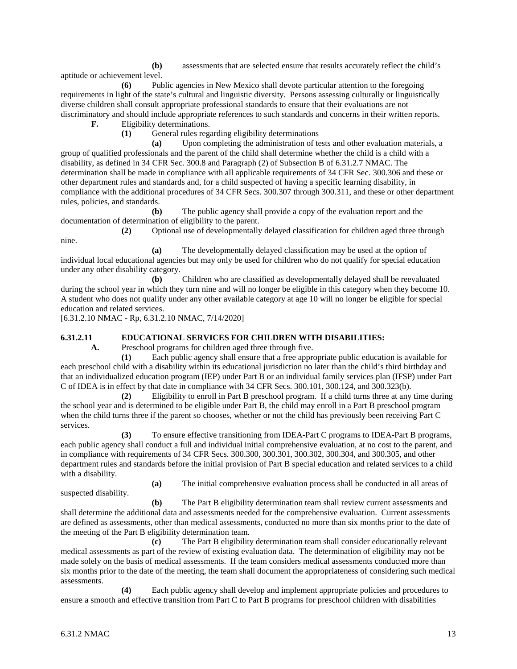**(b)** assessments that are selected ensure that results accurately reflect the child's aptitude or achievement level.

**(6)** Public agencies in New Mexico shall devote particular attention to the foregoing requirements in light of the state's cultural and linguistic diversity. Persons assessing culturally or linguistically diverse children shall consult appropriate professional standards to ensure that their evaluations are not discriminatory and should include appropriate references to such standards and concerns in their written reports.

**F.** Eligibility determinations.

**(1)** General rules regarding eligibility determinations

**(a)** Upon completing the administration of tests and other evaluation materials, a group of qualified professionals and the parent of the child shall determine whether the child is a child with a disability, as defined in 34 CFR Sec. 300.8 and Paragraph (2) of Subsection B of 6.31.2.7 NMAC. The determination shall be made in compliance with all applicable requirements of 34 CFR Sec. 300.306 and these or other department rules and standards and, for a child suspected of having a specific learning disability, in compliance with the additional procedures of 34 CFR Secs. 300.307 through 300.311, and these or other department rules, policies, and standards.

**(b)** The public agency shall provide a copy of the evaluation report and the documentation of determination of eligibility to the parent.

**(2)** Optional use of developmentally delayed classification for children aged three through nine.

**(a)** The developmentally delayed classification may be used at the option of individual local educational agencies but may only be used for children who do not qualify for special education under any other disability category.

**(b)** Children who are classified as developmentally delayed shall be reevaluated during the school year in which they turn nine and will no longer be eligible in this category when they become 10. A student who does not qualify under any other available category at age 10 will no longer be eligible for special education and related services.

[6.31.2.10 NMAC - Rp, 6.31.2.10 NMAC, 7/14/2020]

#### **6.31.2.11 EDUCATIONAL SERVICES FOR CHILDREN WITH DISABILITIES:**

**A.** Preschool programs for children aged three through five.

**(1)** Each public agency shall ensure that a free appropriate public education is available for each preschool child with a disability within its educational jurisdiction no later than the child's third birthday and that an individualized education program (IEP) under Part B or an individual family services plan (IFSP) under Part C of IDEA is in effect by that date in compliance with 34 CFR Secs. 300.101, 300.124, and 300.323(b).

**(2)** Eligibility to enroll in Part B preschool program. If a child turns three at any time during the school year and is determined to be eligible under Part B, the child may enroll in a Part B preschool program when the child turns three if the parent so chooses, whether or not the child has previously been receiving Part C services.

**(3)** To ensure effective transitioning from IDEA-Part C programs to IDEA-Part B programs, each public agency shall conduct a full and individual initial comprehensive evaluation, at no cost to the parent, and in compliance with requirements of 34 CFR Secs. 300.300, 300.301, 300.302, 300.304, and 300.305, and other department rules and standards before the initial provision of Part B special education and related services to a child with a disability.

**(a)** The initial comprehensive evaluation process shall be conducted in all areas of suspected disability.

**(b)** The Part B eligibility determination team shall review current assessments and shall determine the additional data and assessments needed for the comprehensive evaluation. Current assessments are defined as assessments, other than medical assessments, conducted no more than six months prior to the date of the meeting of the Part B eligibility determination team.

**(c)** The Part B eligibility determination team shall consider educationally relevant medical assessments as part of the review of existing evaluation data. The determination of eligibility may not be made solely on the basis of medical assessments. If the team considers medical assessments conducted more than six months prior to the date of the meeting, the team shall document the appropriateness of considering such medical assessments.

**(4)** Each public agency shall develop and implement appropriate policies and procedures to ensure a smooth and effective transition from Part C to Part B programs for preschool children with disabilities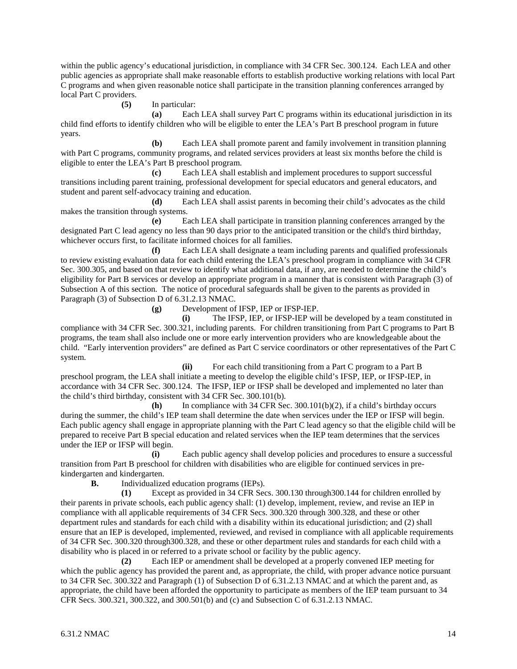within the public agency's educational jurisdiction, in compliance with 34 CFR Sec. 300.124. Each LEA and other public agencies as appropriate shall make reasonable efforts to establish productive working relations with local Part C programs and when given reasonable notice shall participate in the transition planning conferences arranged by local Part C providers.

**(5)** In particular:

**(a)** Each LEA shall survey Part C programs within its educational jurisdiction in its child find efforts to identify children who will be eligible to enter the LEA's Part B preschool program in future years.

**(b)** Each LEA shall promote parent and family involvement in transition planning with Part C programs, community programs, and related services providers at least six months before the child is eligible to enter the LEA's Part B preschool program.

**(c)** Each LEA shall establish and implement procedures to support successful transitions including parent training, professional development for special educators and general educators, and student and parent self-advocacy training and education.

**(d)** Each LEA shall assist parents in becoming their child's advocates as the child makes the transition through systems.

**(e)** Each LEA shall participate in transition planning conferences arranged by the designated Part C lead agency no less than 90 days prior to the anticipated transition or the child's third birthday, whichever occurs first, to facilitate informed choices for all families.

**(f)** Each LEA shall designate a team including parents and qualified professionals to review existing evaluation data for each child entering the LEA's preschool program in compliance with 34 CFR Sec. 300.305, and based on that review to identify what additional data, if any, are needed to determine the child's eligibility for Part B services or develop an appropriate program in a manner that is consistent with Paragraph (3) of Subsection A of this section. The notice of procedural safeguards shall be given to the parents as provided in Paragraph (3) of Subsection D of 6.31.2.13 NMAC.

**(g)** Development of IFSP, IEP or IFSP-IEP.

**(i)** The IFSP, IEP, or IFSP-IEP will be developed by a team constituted in compliance with 34 CFR Sec. 300.321, including parents. For children transitioning from Part C programs to Part B programs, the team shall also include one or more early intervention providers who are knowledgeable about the child. "Early intervention providers" are defined as Part C service coordinators or other representatives of the Part C system.

**(ii)** For each child transitioning from a Part C program to a Part B preschool program, the LEA shall initiate a meeting to develop the eligible child's IFSP, IEP, or IFSP-IEP, in accordance with 34 CFR Sec. 300.124. The IFSP, IEP or IFSP shall be developed and implemented no later than the child's third birthday, consistent with 34 CFR Sec. 300.101(b).

**(h)** In compliance with 34 CFR Sec. 300.101(b)(2), if a child's birthday occurs during the summer, the child's IEP team shall determine the date when services under the IEP or IFSP will begin. Each public agency shall engage in appropriate planning with the Part C lead agency so that the eligible child will be prepared to receive Part B special education and related services when the IEP team determines that the services under the IEP or IFSP will begin.

**(i)** Each public agency shall develop policies and procedures to ensure a successful transition from Part B preschool for children with disabilities who are eligible for continued services in prekindergarten and kindergarten.<br> **B.** Individualize

**B.** Individualized education programs (IEPs).

**(1)** Except as provided in 34 CFR Secs. 300.130 through300.144 for children enrolled by their parents in private schools, each public agency shall: (1) develop, implement, review, and revise an IEP in compliance with all applicable requirements of 34 CFR Secs. 300.320 through 300.328, and these or other department rules and standards for each child with a disability within its educational jurisdiction; and (2) shall ensure that an IEP is developed, implemented, reviewed, and revised in compliance with all applicable requirements of 34 CFR Sec. 300.320 through300.328, and these or other department rules and standards for each child with a disability who is placed in or referred to a private school or facility by the public agency.

**(2)** Each IEP or amendment shall be developed at a properly convened IEP meeting for which the public agency has provided the parent and, as appropriate, the child, with proper advance notice pursuant to 34 CFR Sec. 300.322 and Paragraph (1) of Subsection D of 6.31.2.13 NMAC and at which the parent and, as appropriate, the child have been afforded the opportunity to participate as members of the IEP team pursuant to 34 CFR Secs. 300.321, 300.322, and 300.501(b) and (c) and Subsection C of 6.31.2.13 NMAC.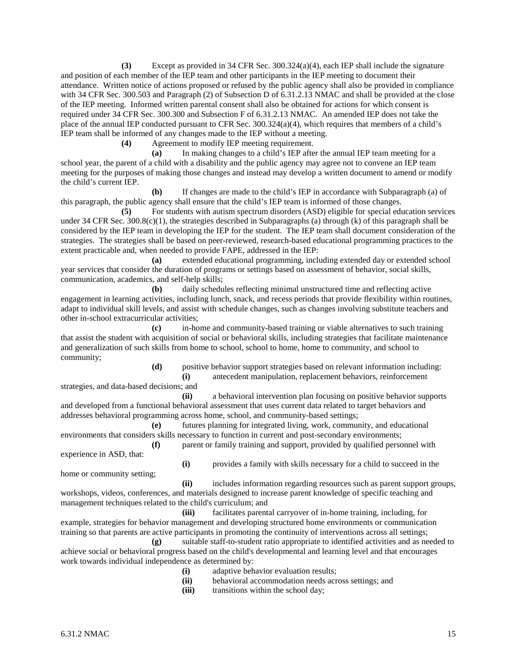**(3)** Except as provided in 34 CFR Sec. 300.324(a)(4), each IEP shall include the signature and position of each member of the IEP team and other participants in the IEP meeting to document their attendance. Written notice of actions proposed or refused by the public agency shall also be provided in compliance with 34 CFR Sec. 300.503 and Paragraph (2) of Subsection D of 6.31.2.13 NMAC and shall be provided at the close of the IEP meeting. Informed written parental consent shall also be obtained for actions for which consent is required under 34 CFR Sec. 300.300 and Subsection F of 6.31.2.13 NMAC. An amended IEP does not take the place of the annual IEP conducted pursuant to CFR Sec. 300.324(a)(4), which requires that members of a child's IEP team shall be informed of any changes made to the IEP without a meeting.

**(4)** Agreement to modify IEP meeting requirement.

**(a)** In making changes to a child's IEP after the annual IEP team meeting for a school year, the parent of a child with a disability and the public agency may agree not to convene an IEP team meeting for the purposes of making those changes and instead may develop a written document to amend or modify the child's current IEP.

**(b)** If changes are made to the child's IEP in accordance with Subparagraph (a) of this paragraph, the public agency shall ensure that the child's IEP team is informed of those changes.

**(5)** For students with autism spectrum disorders (ASD) eligible for special education services under 34 CFR Sec.  $300.8(c)(1)$ , the strategies described in Subparagraphs (a) through (k) of this paragraph shall be considered by the IEP team in developing the IEP for the student. The IEP team shall document consideration of the strategies. The strategies shall be based on peer-reviewed, research-based educational programming practices to the extent practicable and, when needed to provide FAPE, addressed in the IEP:

**(a)** extended educational programming, including extended day or extended school year services that consider the duration of programs or settings based on assessment of behavior, social skills, communication, academics, and self-help skills;

**(b)** daily schedules reflecting minimal unstructured time and reflecting active engagement in learning activities, including lunch, snack, and recess periods that provide flexibility within routines, adapt to individual skill levels, and assist with schedule changes, such as changes involving substitute teachers and other in-school extracurricular activities;

**(c)** in-home and community-based training or viable alternatives to such training that assist the student with acquisition of social or behavioral skills, including strategies that facilitate maintenance and generalization of such skills from home to school, school to home, home to community, and school to community;

> **(d)** positive behavior support strategies based on relevant information including: **(i)** antecedent manipulation, replacement behaviors, reinforcement

strategies, and data-based decisions; and

**(ii)** a behavioral intervention plan focusing on positive behavior supports and developed from a functional behavioral assessment that uses current data related to target behaviors and addresses behavioral programming across home, school, and community-based settings;

**(e)** futures planning for integrated living, work, community, and educational environments that considers skills necessary to function in current and post-secondary environments;

**(f)** parent or family training and support, provided by qualified personnel with experience in ASD, that:

home or community setting;

**(i)** provides a family with skills necessary for a child to succeed in the

**(ii)** includes information regarding resources such as parent support groups, workshops, videos, conferences, and materials designed to increase parent knowledge of specific teaching and management techniques related to the child's curriculum; and

**(iii)** facilitates parental carryover of in-home training, including, for example, strategies for behavior management and developing structured home environments or communication training so that parents are active participants in promoting the continuity of interventions across all settings;

**(g)** suitable staff-to-student ratio appropriate to identified activities and as needed to achieve social or behavioral progress based on the child's developmental and learning level and that encourages work towards individual independence as determined by:

- **(i)** adaptive behavior evaluation results;
- **(ii)** behavioral accommodation needs across settings; and
- **(iii)** transitions within the school day;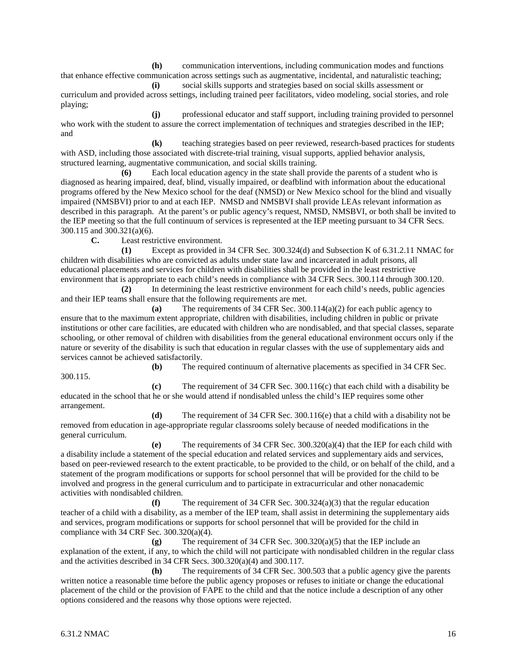**(h)** communication interventions, including communication modes and functions that enhance effective communication across settings such as augmentative, incidental, and naturalistic teaching;

**(i)** social skills supports and strategies based on social skills assessment or curriculum and provided across settings, including trained peer facilitators, video modeling, social stories, and role playing;

**(j)** professional educator and staff support, including training provided to personnel who work with the student to assure the correct implementation of techniques and strategies described in the IEP; and

**(k)** teaching strategies based on peer reviewed, research-based practices for students with ASD, including those associated with discrete-trial training, visual supports, applied behavior analysis, structured learning, augmentative communication, and social skills training.

**(6)** Each local education agency in the state shall provide the parents of a student who is diagnosed as hearing impaired, deaf, blind, visually impaired, or deafblind with information about the educational programs offered by the New Mexico school for the deaf (NMSD) or New Mexico school for the blind and visually impaired (NMSBVI) prior to and at each IEP. NMSD and NMSBVI shall provide LEAs relevant information as described in this paragraph. At the parent's or public agency's request, NMSD, NMSBVI, or both shall be invited to the IEP meeting so that the full continuum of services is represented at the IEP meeting pursuant to 34 CFR Secs. 300.115 and 300.321(a)(6).

**C.** Least restrictive environment.

**(1)** Except as provided in 34 CFR Sec. 300.324(d) and Subsection K of 6.31.2.11 NMAC for children with disabilities who are convicted as adults under state law and incarcerated in adult prisons, all educational placements and services for children with disabilities shall be provided in the least restrictive environment that is appropriate to each child's needs in compliance with 34 CFR Secs. 300.114 through 300.120.

**(2)** In determining the least restrictive environment for each child's needs, public agencies and their IEP teams shall ensure that the following requirements are met.

**(a)** The requirements of 34 CFR Sec. 300.114(a)(2) for each public agency to ensure that to the maximum extent appropriate, children with disabilities, including children in public or private institutions or other care facilities, are educated with children who are nondisabled, and that special classes, separate schooling, or other removal of children with disabilities from the general educational environment occurs only if the nature or severity of the disability is such that education in regular classes with the use of supplementary aids and services cannot be achieved satisfactorily.

**(b)** The required continuum of alternative placements as specified in 34 CFR Sec.

**(c)** The requirement of 34 CFR Sec. 300.116(c) that each child with a disability be educated in the school that he or she would attend if nondisabled unless the child's IEP requires some other arrangement.

**(d)** The requirement of 34 CFR Sec. 300.116(e) that a child with a disability not be removed from education in age-appropriate regular classrooms solely because of needed modifications in the general curriculum.

**(e)** The requirements of 34 CFR Sec. 300.320(a)(4) that the IEP for each child with a disability include a statement of the special education and related services and supplementary aids and services, based on peer-reviewed research to the extent practicable, to be provided to the child, or on behalf of the child, and a statement of the program modifications or supports for school personnel that will be provided for the child to be involved and progress in the general curriculum and to participate in extracurricular and other nonacademic activities with nondisabled children.

**(f)** The requirement of 34 CFR Sec. 300.324(a)(3) that the regular education teacher of a child with a disability, as a member of the IEP team, shall assist in determining the supplementary aids and services, program modifications or supports for school personnel that will be provided for the child in compliance with 34 CRF Sec. 300.320(a)(4).

**(g)** The requirement of 34 CFR Sec. 300.320(a)(5) that the IEP include an explanation of the extent, if any, to which the child will not participate with nondisabled children in the regular class and the activities described in 34 CFR Secs. 300.320(a)(4) and 300.117.

**(h)** The requirements of 34 CFR Sec. 300.503 that a public agency give the parents written notice a reasonable time before the public agency proposes or refuses to initiate or change the educational placement of the child or the provision of FAPE to the child and that the notice include a description of any other options considered and the reasons why those options were rejected.

300.115.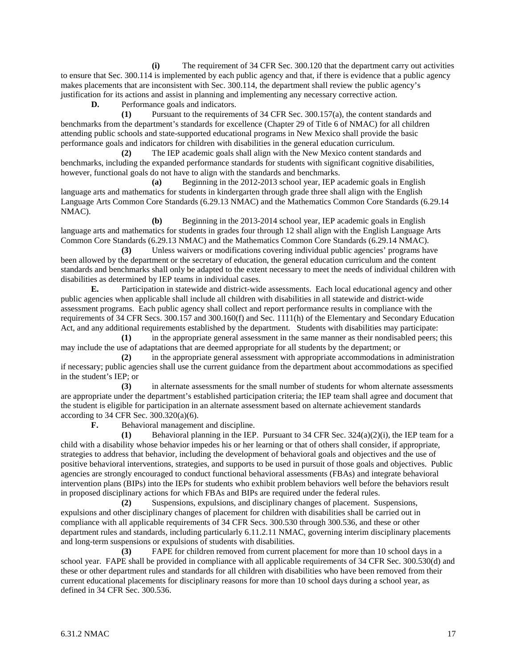**(i)** The requirement of 34 CFR Sec. 300.120 that the department carry out activities to ensure that Sec. 300.114 is implemented by each public agency and that, if there is evidence that a public agency makes placements that are inconsistent with Sec. 300.114, the department shall review the public agency's justification for its actions and assist in planning and implementing any necessary corrective action.

**D.** Performance goals and indicators.

**(1)** Pursuant to the requirements of 34 CFR Sec. 300.157(a), the content standards and benchmarks from the department's standards for excellence (Chapter 29 of Title 6 of NMAC) for all children attending public schools and state-supported educational programs in New Mexico shall provide the basic performance goals and indicators for children with disabilities in the general education curriculum.

**(2)** The IEP academic goals shall align with the New Mexico content standards and benchmarks, including the expanded performance standards for students with significant cognitive disabilities, however, functional goals do not have to align with the standards and benchmarks.

**(a)** Beginning in the 2012-2013 school year, IEP academic goals in English language arts and mathematics for students in kindergarten through grade three shall align with the English Language Arts Common Core Standards (6.29.13 NMAC) and the Mathematics Common Core Standards (6.29.14 NMAC).

**(b)** Beginning in the 2013-2014 school year, IEP academic goals in English language arts and mathematics for students in grades four through 12 shall align with the English Language Arts Common Core Standards (6.29.13 NMAC) and the Mathematics Common Core Standards (6.29.14 NMAC).

**(3)** Unless waivers or modifications covering individual public agencies' programs have been allowed by the department or the secretary of education, the general education curriculum and the content standards and benchmarks shall only be adapted to the extent necessary to meet the needs of individual children with disabilities as determined by IEP teams in individual cases.

**E.** Participation in statewide and district-wide assessments. Each local educational agency and other public agencies when applicable shall include all children with disabilities in all statewide and district-wide assessment programs. Each public agency shall collect and report performance results in compliance with the requirements of 34 CFR Secs. 300.157 and 300.160(f) and Sec. 1111(h) of the Elementary and Secondary Education Act, and any additional requirements established by the department. Students with disabilities may participate:

**(1)** in the appropriate general assessment in the same manner as their nondisabled peers; this may include the use of adaptations that are deemed appropriate for all students by the department; or

**(2)** in the appropriate general assessment with appropriate accommodations in administration if necessary; public agencies shall use the current guidance from the department about accommodations as specified in the student's IEP; or

**(3)** in alternate assessments for the small number of students for whom alternate assessments are appropriate under the department's established participation criteria; the IEP team shall agree and document that the student is eligible for participation in an alternate assessment based on alternate achievement standards according to 34 CFR Sec. 300.320(a)(6).

**F.** Behavioral management and discipline.

**(1)** Behavioral planning in the IEP. Pursuant to 34 CFR Sec. 324(a)(2)(i), the IEP team for a child with a disability whose behavior impedes his or her learning or that of others shall consider, if appropriate, strategies to address that behavior, including the development of behavioral goals and objectives and the use of positive behavioral interventions, strategies, and supports to be used in pursuit of those goals and objectives. Public agencies are strongly encouraged to conduct functional behavioral assessments (FBAs) and integrate behavioral intervention plans (BIPs) into the IEPs for students who exhibit problem behaviors well before the behaviors result in proposed disciplinary actions for which FBAs and BIPs are required under the federal rules.

**(2)** Suspensions, expulsions, and disciplinary changes of placement. Suspensions, expulsions and other disciplinary changes of placement for children with disabilities shall be carried out in compliance with all applicable requirements of 34 CFR Secs. 300.530 through 300.536, and these or other department rules and standards, including particularly 6.11.2.11 NMAC, governing interim disciplinary placements and long-term suspensions or expulsions of students with disabilities.

**(3)** FAPE for children removed from current placement for more than 10 school days in a school year. FAPE shall be provided in compliance with all applicable requirements of 34 CFR Sec. 300.530(d) and these or other department rules and standards for all children with disabilities who have been removed from their current educational placements for disciplinary reasons for more than 10 school days during a school year, as defined in 34 CFR Sec. 300.536.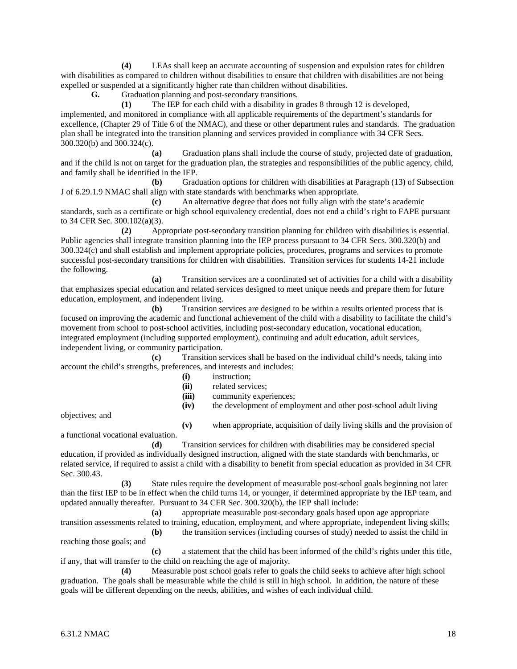**(4)** LEAs shall keep an accurate accounting of suspension and expulsion rates for children with disabilities as compared to children without disabilities to ensure that children with disabilities are not being expelled or suspended at a significantly higher rate than children without disabilities.<br> **G.** Graduation planning and post-secondary transitions.

Graduation planning and post-secondary transitions.

**(1)** The IEP for each child with a disability in grades 8 through 12 is developed, implemented, and monitored in compliance with all applicable requirements of the department's standards for excellence, (Chapter 29 of Title 6 of the NMAC), and these or other department rules and standards. The graduation plan shall be integrated into the transition planning and services provided in compliance with 34 CFR Secs. 300.320(b) and 300.324(c).

**(a)** Graduation plans shall include the course of study, projected date of graduation, and if the child is not on target for the graduation plan, the strategies and responsibilities of the public agency, child, and family shall be identified in the IEP.

**(b)** Graduation options for children with disabilities at Paragraph (13) of Subsection J of 6.29.1.9 NMAC shall align with state standards with benchmarks when appropriate.

**(c)** An alternative degree that does not fully align with the state's academic standards, such as a certificate or high school equivalency credential, does not end a child's right to FAPE pursuant to 34 CFR Sec. 300.102(a)(3).

**(2)** Appropriate post-secondary transition planning for children with disabilities is essential. Public agencies shall integrate transition planning into the IEP process pursuant to 34 CFR Secs. 300.320(b) and 300.324(c) and shall establish and implement appropriate policies, procedures, programs and services to promote successful post-secondary transitions for children with disabilities. Transition services for students 14-21 include the following.

**(a)** Transition services are a coordinated set of activities for a child with a disability that emphasizes special education and related services designed to meet unique needs and prepare them for future education, employment, and independent living.

**(b)** Transition services are designed to be within a results oriented process that is focused on improving the academic and functional achievement of the child with a disability to facilitate the child's movement from school to post-school activities, including post-secondary education, vocational education, integrated employment (including supported employment), continuing and adult education, adult services, independent living, or community participation.

**(c)** Transition services shall be based on the individual child's needs, taking into account the child's strengths, preferences, and interests and includes:

- **(i)** instruction;
- (ii) related services;<br>(iii) community expe
- community experiences;

**(iv)** the development of employment and other post-school adult living

objectives; and

**(v)** when appropriate, acquisition of daily living skills and the provision of a functional vocational evaluation.

**(d)** Transition services for children with disabilities may be considered special education, if provided as individually designed instruction, aligned with the state standards with benchmarks, or related service, if required to assist a child with a disability to benefit from special education as provided in 34 CFR Sec. 300.43.

**(3)** State rules require the development of measurable post-school goals beginning not later than the first IEP to be in effect when the child turns 14, or younger, if determined appropriate by the IEP team, and updated annually thereafter. Pursuant to 34 CFR Sec. 300.320(b), the IEP shall include:

**(a)** appropriate measurable post-secondary goals based upon age appropriate transition assessments related to training, education, employment, and where appropriate, independent living skills;

**(b)** the transition services (including courses of study) needed to assist the child in reaching those goals; and

**(c)** a statement that the child has been informed of the child's rights under this title, if any, that will transfer to the child on reaching the age of majority.

**(4)** Measurable post school goals refer to goals the child seeks to achieve after high school graduation. The goals shall be measurable while the child is still in high school. In addition, the nature of these goals will be different depending on the needs, abilities, and wishes of each individual child.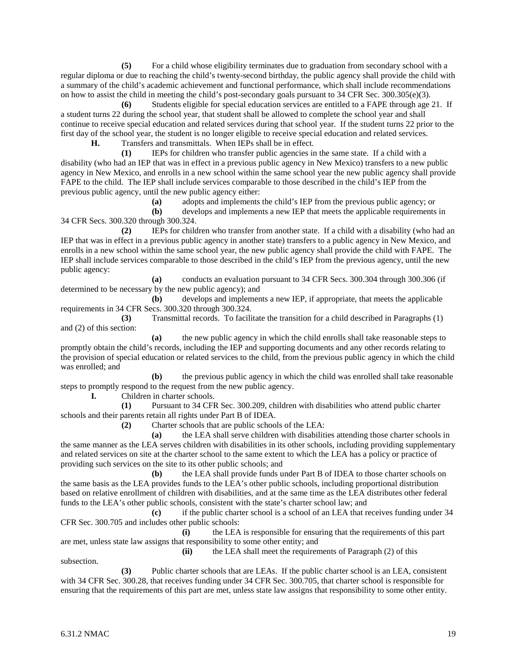**(5)** For a child whose eligibility terminates due to graduation from secondary school with a regular diploma or due to reaching the child's twenty-second birthday, the public agency shall provide the child with a summary of the child's academic achievement and functional performance, which shall include recommendations on how to assist the child in meeting the child's post-secondary goals pursuant to 34 CFR Sec. 300.305(e)(3).

**(6)** Students eligible for special education services are entitled to a FAPE through age 21. If a student turns 22 during the school year, that student shall be allowed to complete the school year and shall continue to receive special education and related services during that school year. If the student turns 22 prior to the first day of the school year, the student is no longer eligible to receive special education and related services.

**H.** Transfers and transmittals. When IEPs shall be in effect.

**(1)** IEPs for children who transfer public agencies in the same state. If a child with a disability (who had an IEP that was in effect in a previous public agency in New Mexico) transfers to a new public agency in New Mexico, and enrolls in a new school within the same school year the new public agency shall provide FAPE to the child. The IEP shall include services comparable to those described in the child's IEP from the previous public agency, until the new public agency either:

**(a)** adopts and implements the child's IEP from the previous public agency; or

**(b)** develops and implements a new IEP that meets the applicable requirements in 34 CFR Secs. 300.320 through 300.324.

**(2)** IEPs for children who transfer from another state. If a child with a disability (who had an IEP that was in effect in a previous public agency in another state) transfers to a public agency in New Mexico, and enrolls in a new school within the same school year, the new public agency shall provide the child with FAPE. The IEP shall include services comparable to those described in the child's IEP from the previous agency, until the new public agency:

**(a)** conducts an evaluation pursuant to 34 CFR Secs. 300.304 through 300.306 (if determined to be necessary by the new public agency); and

**(b)** develops and implements a new IEP, if appropriate, that meets the applicable requirements in 34 CFR Secs. 300.320 through 300.324.

**(3)** Transmittal records. To facilitate the transition for a child described in Paragraphs (1) and (2) of this section:

**(a)** the new public agency in which the child enrolls shall take reasonable steps to promptly obtain the child's records, including the IEP and supporting documents and any other records relating to the provision of special education or related services to the child, from the previous public agency in which the child was enrolled; and

**(b)** the previous public agency in which the child was enrolled shall take reasonable steps to promptly respond to the request from the new public agency.<br> **I.** Children in charter schools.

**I.** Children in charter schools.

**(1)** Pursuant to 34 CFR Sec. 300.209, children with disabilities who attend public charter schools and their parents retain all rights under Part B of IDEA.

**(2)** Charter schools that are public schools of the LEA:

**(a)** the LEA shall serve children with disabilities attending those charter schools in the same manner as the LEA serves children with disabilities in its other schools, including providing supplementary and related services on site at the charter school to the same extent to which the LEA has a policy or practice of providing such services on the site to its other public schools; and

**(b)** the LEA shall provide funds under Part B of IDEA to those charter schools on the same basis as the LEA provides funds to the LEA's other public schools, including proportional distribution based on relative enrollment of children with disabilities, and at the same time as the LEA distributes other federal funds to the LEA's other public schools, consistent with the state's charter school law; and

**(c)** if the public charter school is a school of an LEA that receives funding under 34 CFR Sec. 300.705 and includes other public schools:

**(i)** the LEA is responsible for ensuring that the requirements of this part are met, unless state law assigns that responsibility to some other entity; and

**(ii)** the LEA shall meet the requirements of Paragraph (2) of this

subsection.

**(3)** Public charter schools that are LEAs. If the public charter school is an LEA, consistent with 34 CFR Sec. 300.28, that receives funding under 34 CFR Sec. 300.705, that charter school is responsible for ensuring that the requirements of this part are met, unless state law assigns that responsibility to some other entity.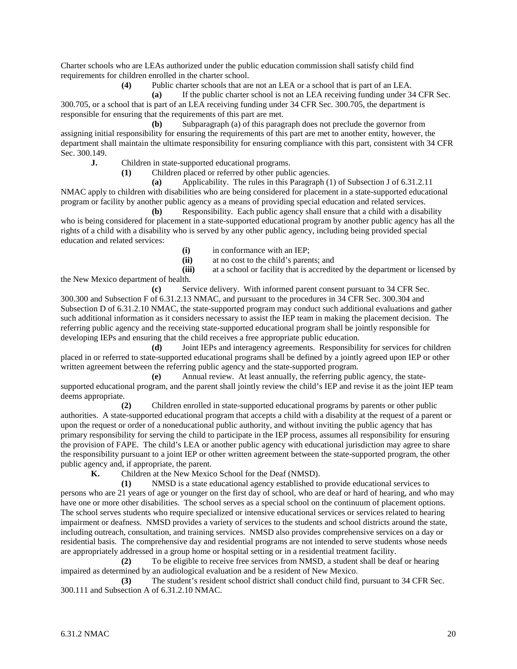Charter schools who are LEAs authorized under the public education commission shall satisfy child find requirements for children enrolled in the charter school.

**(4)** Public charter schools that are not an LEA or a school that is part of an LEA.

**(a)** If the public charter school is not an LEA receiving funding under 34 CFR Sec. 300.705, or a school that is part of an LEA receiving funding under 34 CFR Sec. 300.705, the department is responsible for ensuring that the requirements of this part are met.

**(b)** Subparagraph (a) of this paragraph does not preclude the governor from assigning initial responsibility for ensuring the requirements of this part are met to another entity, however, the department shall maintain the ultimate responsibility for ensuring compliance with this part, consistent with 34 CFR Sec. 300.149.

**J.** Children in state-supported educational programs.

**(1)** Children placed or referred by other public agencies.

**(a)** Applicability. The rules in this Paragraph (1) of Subsection J of 6.31.2.11 NMAC apply to children with disabilities who are being considered for placement in a state-supported educational program or facility by another public agency as a means of providing special education and related services.

**(b)** Responsibility. Each public agency shall ensure that a child with a disability who is being considered for placement in a state-supported educational program by another public agency has all the rights of a child with a disability who is served by any other public agency, including being provided special education and related services:

**(i)** in conformance with an IEP;

**(ii)** at no cost to the child's parents; and

**(iii)** at a school or facility that is accredited by the department or licensed by the New Mexico department of health.

**(c)** Service delivery. With informed parent consent pursuant to 34 CFR Sec. 300.300 and Subsection F of 6.31.2.13 NMAC, and pursuant to the procedures in 34 CFR Sec. 300.304 and Subsection D of 6.31.2.10 NMAC, the state-supported program may conduct such additional evaluations and gather such additional information as it considers necessary to assist the IEP team in making the placement decision. The referring public agency and the receiving state-supported educational program shall be jointly responsible for developing IEPs and ensuring that the child receives a free appropriate public education.

**(d)** Joint IEPs and interagency agreements. Responsibility for services for children placed in or referred to state-supported educational programs shall be defined by a jointly agreed upon IEP or other written agreement between the referring public agency and the state-supported program.

**(e)** Annual review. At least annually, the referring public agency, the statesupported educational program, and the parent shall jointly review the child's IEP and revise it as the joint IEP team deems appropriate.

**(2)** Children enrolled in state-supported educational programs by parents or other public authorities. A state-supported educational program that accepts a child with a disability at the request of a parent or upon the request or order of a noneducational public authority, and without inviting the public agency that has primary responsibility for serving the child to participate in the IEP process, assumes all responsibility for ensuring the provision of FAPE. The child's LEA or another public agency with educational jurisdiction may agree to share the responsibility pursuant to a joint IEP or other written agreement between the state-supported program, the other public agency and, if appropriate, the parent.

**K.** Children at the New Mexico School for the Deaf (NMSD).

**(1)** NMSD is a state educational agency established to provide educational services to persons who are 21 years of age or younger on the first day of school, who are deaf or hard of hearing, and who may have one or more other disabilities. The school serves as a special school on the continuum of placement options. The school serves students who require specialized or intensive educational services or services related to hearing impairment or deafness. NMSD provides a variety of services to the students and school districts around the state, including outreach, consultation, and training services. NMSD also provides comprehensive services on a day or residential basis. The comprehensive day and residential programs are not intended to serve students whose needs are appropriately addressed in a group home or hospital setting or in a residential treatment facility.

**(2)** To be eligible to receive free services from NMSD, a student shall be deaf or hearing impaired as determined by an audiological evaluation and be a resident of New Mexico.

**(3)** The student's resident school district shall conduct child find, pursuant to 34 CFR Sec. 300.111 and Subsection A of 6.31.2.10 NMAC.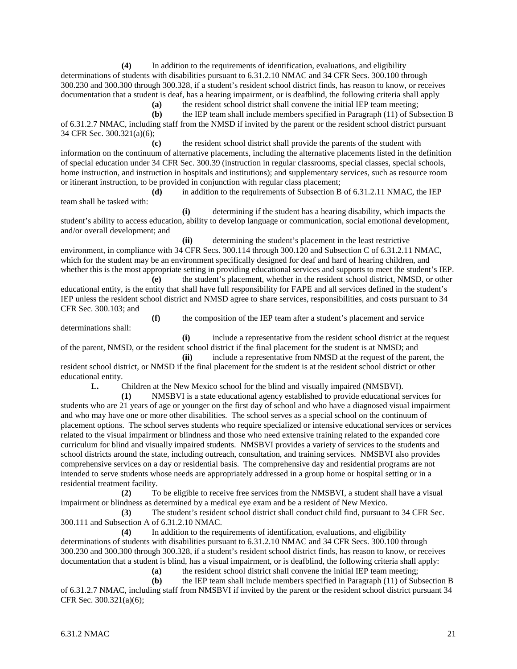**(4)** In addition to the requirements of identification, evaluations, and eligibility determinations of students with disabilities pursuant to 6.31.2.10 NMAC and 34 CFR Secs. 300.100 through 300.230 and 300.300 through 300.328, if a student's resident school district finds, has reason to know, or receives documentation that a student is deaf, has a hearing impairment, or is deafblind, the following criteria shall apply

**(a)** the resident school district shall convene the initial IEP team meeting;

**(b)** the IEP team shall include members specified in Paragraph (11) of Subsection B of 6.31.2.7 NMAC, including staff from the NMSD if invited by the parent or the resident school district pursuant 34 CFR Sec. 300.321(a)(6);

**(c)** the resident school district shall provide the parents of the student with information on the continuum of alternative placements, including the alternative placements listed in the definition of special education under 34 CFR Sec. 300.39 (instruction in regular classrooms, special classes, special schools, home instruction, and instruction in hospitals and institutions); and supplementary services, such as resource room or itinerant instruction, to be provided in conjunction with regular class placement;

**(d)** in addition to the requirements of Subsection B of 6.31.2.11 NMAC, the IEP team shall be tasked with:

**(i)** determining if the student has a hearing disability, which impacts the student's ability to access education, ability to develop language or communication, social emotional development, and/or overall development; and

**(ii)** determining the student's placement in the least restrictive environment, in compliance with 34 CFR Secs. 300.114 through 300.120 and Subsection C of 6.31.2.11 NMAC, which for the student may be an environment specifically designed for deaf and hard of hearing children, and whether this is the most appropriate setting in providing educational services and supports to meet the student's IEP.

**(e)** the student's placement, whether in the resident school district, NMSD, or other educational entity, is the entity that shall have full responsibility for FAPE and all services defined in the student's IEP unless the resident school district and NMSD agree to share services, responsibilities, and costs pursuant to 34 CFR Sec. 300.103; and

**(f)** the composition of the IEP team after a student's placement and service

determinations shall:

**(i)** include a representative from the resident school district at the request of the parent, NMSD, or the resident school district if the final placement for the student is at NMSD; and

**(ii)** include a representative from NMSD at the request of the parent, the resident school district, or NMSD if the final placement for the student is at the resident school district or other educational entity.

**L.** Children at the New Mexico school for the blind and visually impaired (NMSBVI).

**(1)** NMSBVI is a state educational agency established to provide educational services for students who are 21 years of age or younger on the first day of school and who have a diagnosed visual impairment and who may have one or more other disabilities. The school serves as a special school on the continuum of placement options. The school serves students who require specialized or intensive educational services or services related to the visual impairment or blindness and those who need extensive training related to the expanded core curriculum for blind and visually impaired students. NMSBVI provides a variety of services to the students and school districts around the state, including outreach, consultation, and training services. NMSBVI also provides comprehensive services on a day or residential basis. The comprehensive day and residential programs are not intended to serve students whose needs are appropriately addressed in a group home or hospital setting or in a residential treatment facility.

**(2)** To be eligible to receive free services from the NMSBVI, a student shall have a visual impairment or blindness as determined by a medical eye exam and be a resident of New Mexico.

**(3)** The student's resident school district shall conduct child find, pursuant to 34 CFR Sec. 300.111 and Subsection A of 6.31.2.10 NMAC.

**(4)** In addition to the requirements of identification, evaluations, and eligibility determinations of students with disabilities pursuant to 6.31.2.10 NMAC and 34 CFR Secs. 300.100 through 300.230 and 300.300 through 300.328, if a student's resident school district finds, has reason to know, or receives documentation that a student is blind, has a visual impairment, or is deafblind, the following criteria shall apply:

**(a)** the resident school district shall convene the initial IEP team meeting;

**(b)** the IEP team shall include members specified in Paragraph (11) of Subsection B of 6.31.2.7 NMAC, including staff from NMSBVI if invited by the parent or the resident school district pursuant 34 CFR Sec. 300.321(a)(6);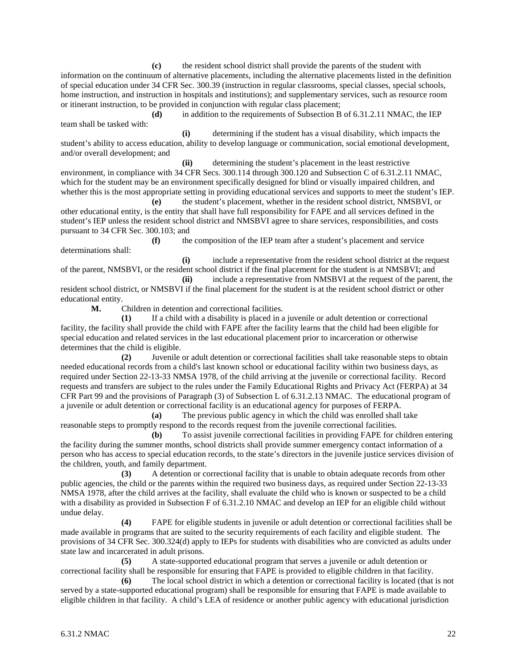**(c)** the resident school district shall provide the parents of the student with information on the continuum of alternative placements, including the alternative placements listed in the definition of special education under 34 CFR Sec. 300.39 (instruction in regular classrooms, special classes, special schools, home instruction, and instruction in hospitals and institutions); and supplementary services, such as resource room or itinerant instruction, to be provided in conjunction with regular class placement;

**(d)** in addition to the requirements of Subsection B of 6.31.2.11 NMAC, the IEP team shall be tasked with:

**(i)** determining if the student has a visual disability, which impacts the student's ability to access education, ability to develop language or communication, social emotional development, and/or overall development; and

**(ii)** determining the student's placement in the least restrictive environment, in compliance with 34 CFR Secs. 300.114 through 300.120 and Subsection C of 6.31.2.11 NMAC, which for the student may be an environment specifically designed for blind or visually impaired children, and whether this is the most appropriate setting in providing educational services and supports to meet the student's IEP.

**(e)** the student's placement, whether in the resident school district, NMSBVI, or other educational entity, is the entity that shall have full responsibility for FAPE and all services defined in the student's IEP unless the resident school district and NMSBVI agree to share services, responsibilities, and costs pursuant to 34 CFR Sec. 300.103; and

**(f)** the composition of the IEP team after a student's placement and service determinations shall:

**(i)** include a representative from the resident school district at the request of the parent, NMSBVI, or the resident school district if the final placement for the student is at NMSBVI; and

**(ii)** include a representative from NMSBVI at the request of the parent, the resident school district, or NMSBVI if the final placement for the student is at the resident school district or other educational entity.<br>M.

Children in detention and correctional facilities.

**(1)** If a child with a disability is placed in a juvenile or adult detention or correctional facility, the facility shall provide the child with FAPE after the facility learns that the child had been eligible for special education and related services in the last educational placement prior to incarceration or otherwise determines that the child is eligible.

**(2)** Juvenile or adult detention or correctional facilities shall take reasonable steps to obtain needed educational records from a child's last known school or educational facility within two business days, as required under Section 22-13-33 NMSA 1978, of the child arriving at the juvenile or correctional facility. Record requests and transfers are subject to the rules under the Family Educational Rights and Privacy Act (FERPA) at 34 CFR Part 99 and the provisions of Paragraph (3) of Subsection L of 6.31.2.13 NMAC. The educational program of a juvenile or adult detention or correctional facility is an educational agency for purposes of FERPA.

**(a)** The previous public agency in which the child was enrolled shall take reasonable steps to promptly respond to the records request from the juvenile correctional facilities.

**(b)** To assist juvenile correctional facilities in providing FAPE for children entering the facility during the summer months, school districts shall provide summer emergency contact information of a person who has access to special education records, to the state's directors in the juvenile justice services division of the children, youth, and family department.

**(3)** A detention or correctional facility that is unable to obtain adequate records from other public agencies, the child or the parents within the required two business days, as required under Section 22-13-33 NMSA 1978, after the child arrives at the facility, shall evaluate the child who is known or suspected to be a child with a disability as provided in Subsection F of 6.31.2.10 NMAC and develop an IEP for an eligible child without undue delay.

**(4)** FAPE for eligible students in juvenile or adult detention or correctional facilities shall be made available in programs that are suited to the security requirements of each facility and eligible student. The provisions of 34 CFR Sec. 300.324(d) apply to IEPs for students with disabilities who are convicted as adults under state law and incarcerated in adult prisons.

**(5)** A state-supported educational program that serves a juvenile or adult detention or correctional facility shall be responsible for ensuring that FAPE is provided to eligible children in that facility.

**(6)** The local school district in which a detention or correctional facility is located (that is not served by a state-supported educational program) shall be responsible for ensuring that FAPE is made available to eligible children in that facility. A child's LEA of residence or another public agency with educational jurisdiction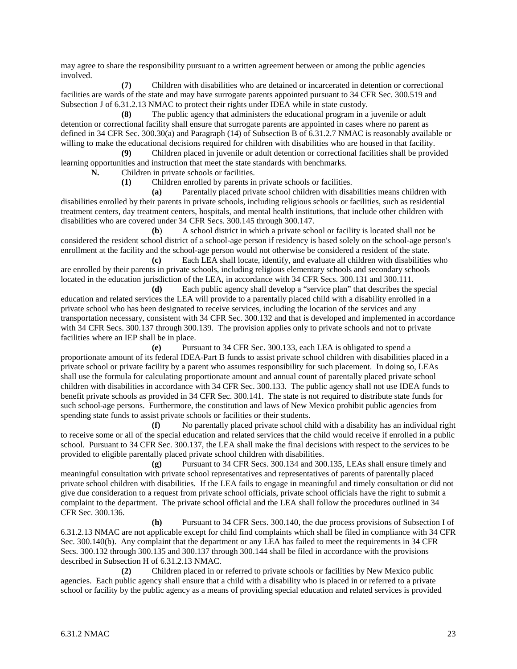may agree to share the responsibility pursuant to a written agreement between or among the public agencies involved.

**(7)** Children with disabilities who are detained or incarcerated in detention or correctional facilities are wards of the state and may have surrogate parents appointed pursuant to 34 CFR Sec. 300.519 and Subsection J of 6.31.2.13 NMAC to protect their rights under IDEA while in state custody.

**(8)** The public agency that administers the educational program in a juvenile or adult detention or correctional facility shall ensure that surrogate parents are appointed in cases where no parent as defined in 34 CFR Sec. 300.30(a) and Paragraph (14) of Subsection B of 6.31.2.7 NMAC is reasonably available or willing to make the educational decisions required for children with disabilities who are housed in that facility.

**(9)** Children placed in juvenile or adult detention or correctional facilities shall be provided learning opportunities and instruction that meet the state standards with benchmarks.

**N.** Children in private schools or facilities.

**(1)** Children enrolled by parents in private schools or facilities.

**(a)** Parentally placed private school children with disabilities means children with disabilities enrolled by their parents in private schools, including religious schools or facilities, such as residential treatment centers, day treatment centers, hospitals, and mental health institutions, that include other children with disabilities who are covered under 34 CFR Secs. 300.145 through 300.147.

**(b**) A school district in which a private school or facility is located shall not be considered the resident school district of a school-age person if residency is based solely on the school-age person's enrollment at the facility and the school-age person would not otherwise be considered a resident of the state.

**(c)** Each LEA shall locate, identify, and evaluate all children with disabilities who are enrolled by their parents in private schools, including religious elementary schools and secondary schools located in the education jurisdiction of the LEA, in accordance with 34 CFR Secs. 300.131 and 300.111.

**(d)** Each public agency shall develop a "service plan" that describes the special education and related services the LEA will provide to a parentally placed child with a disability enrolled in a private school who has been designated to receive services, including the location of the services and any transportation necessary, consistent with 34 CFR Sec. 300.132 and that is developed and implemented in accordance with 34 CFR Secs. 300.137 through 300.139. The provision applies only to private schools and not to private facilities where an IEP shall be in place.

**(e)** Pursuant to 34 CFR Sec. 300.133, each LEA is obligated to spend a proportionate amount of its federal IDEA-Part B funds to assist private school children with disabilities placed in a private school or private facility by a parent who assumes responsibility for such placement. In doing so, LEAs shall use the formula for calculating proportionate amount and annual count of parentally placed private school children with disabilities in accordance with 34 CFR Sec. 300.133. The public agency shall not use IDEA funds to benefit private schools as provided in 34 CFR Sec. 300.141. The state is not required to distribute state funds for such school-age persons. Furthermore, the constitution and laws of New Mexico prohibit public agencies from spending state funds to assist private schools or facilities or their students.

**(f)** No parentally placed private school child with a disability has an individual right to receive some or all of the special education and related services that the child would receive if enrolled in a public school. Pursuant to 34 CFR Sec. 300.137, the LEA shall make the final decisions with respect to the services to be provided to eligible parentally placed private school children with disabilities.

**(g)** Pursuant to 34 CFR Secs. 300.134 and 300.135, LEAs shall ensure timely and meaningful consultation with private school representatives and representatives of parents of parentally placed private school children with disabilities. If the LEA fails to engage in meaningful and timely consultation or did not give due consideration to a request from private school officials, private school officials have the right to submit a complaint to the department. The private school official and the LEA shall follow the procedures outlined in 34 CFR Sec. 300.136.

**(h)** Pursuant to 34 CFR Secs. 300.140, the due process provisions of Subsection I of 6.31.2.13 NMAC are not applicable except for child find complaints which shall be filed in compliance with 34 CFR Sec. 300.140(b). Any complaint that the department or any LEA has failed to meet the requirements in 34 CFR Secs. 300.132 through 300.135 and 300.137 through 300.144 shall be filed in accordance with the provisions described in Subsection H of 6.31.2.13 NMAC.

**(2)** Children placed in or referred to private schools or facilities by New Mexico public agencies. Each public agency shall ensure that a child with a disability who is placed in or referred to a private school or facility by the public agency as a means of providing special education and related services is provided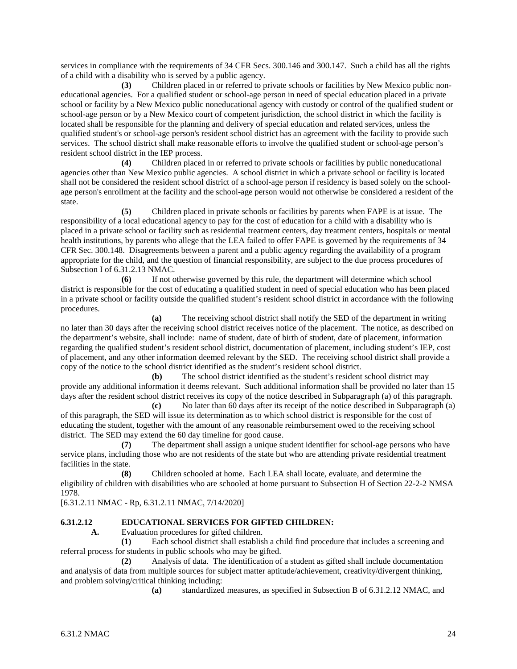services in compliance with the requirements of 34 CFR Secs. 300.146 and 300.147. Such a child has all the rights of a child with a disability who is served by a public agency.

**(3)** Children placed in or referred to private schools or facilities by New Mexico public noneducational agencies. For a qualified student or school-age person in need of special education placed in a private school or facility by a New Mexico public noneducational agency with custody or control of the qualified student or school-age person or by a New Mexico court of competent jurisdiction, the school district in which the facility is located shall be responsible for the planning and delivery of special education and related services, unless the qualified student's or school-age person's resident school district has an agreement with the facility to provide such services. The school district shall make reasonable efforts to involve the qualified student or school-age person's resident school district in the IEP process.

**(4)** Children placed in or referred to private schools or facilities by public noneducational agencies other than New Mexico public agencies. A school district in which a private school or facility is located shall not be considered the resident school district of a school-age person if residency is based solely on the schoolage person's enrollment at the facility and the school-age person would not otherwise be considered a resident of the state.

**(5)** Children placed in private schools or facilities by parents when FAPE is at issue. The responsibility of a local educational agency to pay for the cost of education for a child with a disability who is placed in a private school or facility such as residential treatment centers, day treatment centers, hospitals or mental health institutions, by parents who allege that the LEA failed to offer FAPE is governed by the requirements of 34 CFR Sec. 300.148. Disagreements between a parent and a public agency regarding the availability of a program appropriate for the child, and the question of financial responsibility, are subject to the due process procedures of Subsection I of 6.31.2.13 NMAC.

**(6)** If not otherwise governed by this rule, the department will determine which school district is responsible for the cost of educating a qualified student in need of special education who has been placed in a private school or facility outside the qualified student's resident school district in accordance with the following procedures.

**(a)** The receiving school district shall notify the SED of the department in writing no later than 30 days after the receiving school district receives notice of the placement. The notice, as described on the department's website, shall include: name of student, date of birth of student, date of placement, information regarding the qualified student's resident school district, documentation of placement, including student's IEP, cost of placement, and any other information deemed relevant by the SED. The receiving school district shall provide a copy of the notice to the school district identified as the student's resident school district.

**(b)** The school district identified as the student's resident school district may provide any additional information it deems relevant. Such additional information shall be provided no later than 15 days after the resident school district receives its copy of the notice described in Subparagraph (a) of this paragraph.

**(c)** No later than 60 days after its receipt of the notice described in Subparagraph (a) of this paragraph, the SED will issue its determination as to which school district is responsible for the cost of educating the student, together with the amount of any reasonable reimbursement owed to the receiving school district. The SED may extend the 60 day timeline for good cause.

**(7)** The department shall assign a unique student identifier for school-age persons who have service plans, including those who are not residents of the state but who are attending private residential treatment facilities in the state.

**(8)** Children schooled at home. Each LEA shall locate, evaluate, and determine the eligibility of children with disabilities who are schooled at home pursuant to Subsection H of Section 22-2-2 NMSA 1978.

[6.31.2.11 NMAC - Rp, 6.31.2.11 NMAC, 7/14/2020]

# **6.31.2.12 EDUCATIONAL SERVICES FOR GIFTED CHILDREN:**

**A.** Evaluation procedures for gifted children.

**(1)** Each school district shall establish a child find procedure that includes a screening and referral process for students in public schools who may be gifted.

**(2)** Analysis of data. The identification of a student as gifted shall include documentation and analysis of data from multiple sources for subject matter aptitude/achievement, creativity/divergent thinking, and problem solving/critical thinking including:

**(a)** standardized measures, as specified in Subsection B of 6.31.2.12 NMAC, and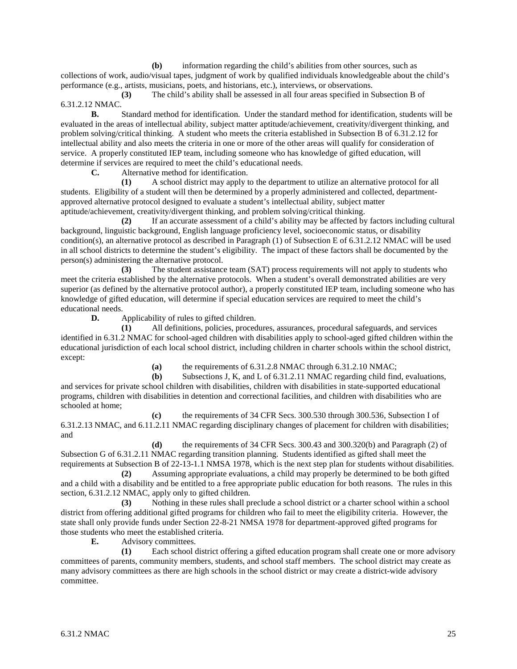**(b)** information regarding the child's abilities from other sources, such as collections of work, audio/visual tapes, judgment of work by qualified individuals knowledgeable about the child's performance (e.g., artists, musicians, poets, and historians, etc.), interviews, or observations.

**(3)** The child's ability shall be assessed in all four areas specified in Subsection B of 6.31.2.12 NMAC.

**B.** Standard method for identification. Under the standard method for identification, students will be evaluated in the areas of intellectual ability, subject matter aptitude/achievement, creativity/divergent thinking, and problem solving/critical thinking. A student who meets the criteria established in Subsection B of 6.31.2.12 for intellectual ability and also meets the criteria in one or more of the other areas will qualify for consideration of service. A properly constituted IEP team, including someone who has knowledge of gifted education, will determine if services are required to meet the child's educational needs.

**C.** Alternative method for identification.

**(1)** A school district may apply to the department to utilize an alternative protocol for all students. Eligibility of a student will then be determined by a properly administered and collected, departmentapproved alternative protocol designed to evaluate a student's intellectual ability, subject matter aptitude/achievement, creativity/divergent thinking, and problem solving/critical thinking.

**(2)** If an accurate assessment of a child's ability may be affected by factors including cultural background, linguistic background, English language proficiency level, socioeconomic status, or disability condition(s), an alternative protocol as described in Paragraph (1) of Subsection E of 6.31.2.12 NMAC will be used in all school districts to determine the student's eligibility. The impact of these factors shall be documented by the person(s) administering the alternative protocol.

**(3)** The student assistance team (SAT) process requirements will not apply to students who meet the criteria established by the alternative protocols. When a student's overall demonstrated abilities are very superior (as defined by the alternative protocol author), a properly constituted IEP team, including someone who has knowledge of gifted education, will determine if special education services are required to meet the child's educational needs.

**D.** Applicability of rules to gifted children.

**(1)** All definitions, policies, procedures, assurances, procedural safeguards, and services identified in 6.31.2 NMAC for school-aged children with disabilities apply to school-aged gifted children within the educational jurisdiction of each local school district, including children in charter schools within the school district, except:

**(a)** the requirements of 6.31.2.8 NMAC through 6.31.2.10 NMAC;

**(b)** Subsections J, K, and L of 6.31.2.11 NMAC regarding child find, evaluations, and services for private school children with disabilities, children with disabilities in state-supported educational programs, children with disabilities in detention and correctional facilities, and children with disabilities who are schooled at home;

**(c)** the requirements of 34 CFR Secs. 300.530 through 300.536, Subsection I of 6.31.2.13 NMAC, and 6.11.2.11 NMAC regarding disciplinary changes of placement for children with disabilities; and

**(d)** the requirements of 34 CFR Secs. 300.43 and 300.320(b) and Paragraph (2) of Subsection G of 6.31.2.11 NMAC regarding transition planning. Students identified as gifted shall meet the requirements at Subsection B of 22-13-1.1 NMSA 1978, which is the next step plan for students without disabilities.

**(2)** Assuming appropriate evaluations, a child may properly be determined to be both gifted and a child with a disability and be entitled to a free appropriate public education for both reasons. The rules in this section, 6.31.2.12 NMAC, apply only to gifted children.

**(3)** Nothing in these rules shall preclude a school district or a charter school within a school district from offering additional gifted programs for children who fail to meet the eligibility criteria. However, the state shall only provide funds under Section 22-8-21 NMSA 1978 for department-approved gifted programs for those students who meet the established criteria.

**E.** Advisory committees.

**(1)** Each school district offering a gifted education program shall create one or more advisory committees of parents, community members, students, and school staff members. The school district may create as many advisory committees as there are high schools in the school district or may create a district-wide advisory committee.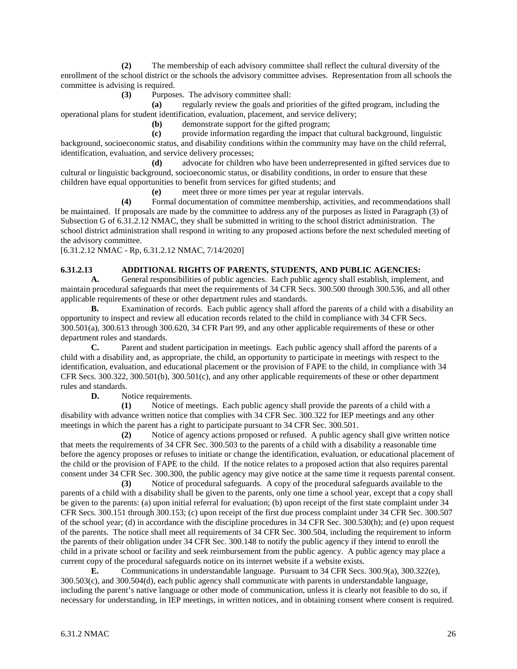**(2)** The membership of each advisory committee shall reflect the cultural diversity of the enrollment of the school district or the schools the advisory committee advises. Representation from all schools the committee is advising is required.

**(3)** Purposes. The advisory committee shall:

**(a)** regularly review the goals and priorities of the gifted program, including the operational plans for student identification, evaluation, placement, and service delivery;

**(b)** demonstrate support for the gifted program;

**(c)** provide information regarding the impact that cultural background, linguistic background, socioeconomic status, and disability conditions within the community may have on the child referral, identification, evaluation, and service delivery processes;

**(d)** advocate for children who have been underrepresented in gifted services due to cultural or linguistic background, socioeconomic status, or disability conditions, in order to ensure that these children have equal opportunities to benefit from services for gifted students; and

**(e)** meet three or more times per year at regular intervals.

**(4)** Formal documentation of committee membership, activities, and recommendations shall be maintained. If proposals are made by the committee to address any of the purposes as listed in Paragraph (3) of Subsection G of 6.31.2.12 NMAC, they shall be submitted in writing to the school district administration. The school district administration shall respond in writing to any proposed actions before the next scheduled meeting of the advisory committee.

[6.31.2.12 NMAC - Rp, 6.31.2.12 NMAC, 7/14/2020]

# **6.31.2.13 ADDITIONAL RIGHTS OF PARENTS, STUDENTS, AND PUBLIC AGENCIES:**

**A.** General responsibilities of public agencies. Each public agency shall establish, implement, and maintain procedural safeguards that meet the requirements of 34 CFR Secs. 300.500 through 300.536, and all other applicable requirements of these or other department rules and standards.

**B.** Examination of records. Each public agency shall afford the parents of a child with a disability an opportunity to inspect and review all education records related to the child in compliance with 34 CFR Secs. 300.501(a), 300.613 through 300.620, 34 CFR Part 99, and any other applicable requirements of these or other department rules and standards.

**C.** Parent and student participation in meetings. Each public agency shall afford the parents of a child with a disability and, as appropriate, the child, an opportunity to participate in meetings with respect to the identification, evaluation, and educational placement or the provision of FAPE to the child, in compliance with 34 CFR Secs. 300.322, 300.501(b), 300.501(c), and any other applicable requirements of these or other department rules and standards.<br> $\mathbf{D}$ . No

Notice requirements.

**(1)** Notice of meetings. Each public agency shall provide the parents of a child with a disability with advance written notice that complies with 34 CFR Sec. 300.322 for IEP meetings and any other meetings in which the parent has a right to participate pursuant to 34 CFR Sec. 300.501.

**(2)** Notice of agency actions proposed or refused. A public agency shall give written notice that meets the requirements of 34 CFR Sec. 300.503 to the parents of a child with a disability a reasonable time before the agency proposes or refuses to initiate or change the identification, evaluation, or educational placement of the child or the provision of FAPE to the child. If the notice relates to a proposed action that also requires parental consent under 34 CFR Sec. 300.300, the public agency may give notice at the same time it requests parental consent.

**(3)** Notice of procedural safeguards. A copy of the procedural safeguards available to the parents of a child with a disability shall be given to the parents, only one time a school year, except that a copy shall be given to the parents: (a) upon initial referral for evaluation; (b) upon receipt of the first state complaint under 34 CFR Secs. 300.151 through 300.153; (c) upon receipt of the first due process complaint under 34 CFR Sec. 300.507 of the school year; (d) in accordance with the discipline procedures in 34 CFR Sec. 300.530(h); and (e) upon request of the parents. The notice shall meet all requirements of 34 CFR Sec. 300.504, including the requirement to inform the parents of their obligation under 34 CFR Sec. 300.148 to notify the public agency if they intend to enroll the child in a private school or facility and seek reimbursement from the public agency. A public agency may place a current copy of the procedural safeguards notice on its internet website if a website exists.

**E.** Communications in understandable language. Pursuant to 34 CFR Secs. 300.9(a), 300.322(e), 300.503(c), and 300.504(d), each public agency shall communicate with parents in understandable language, including the parent's native language or other mode of communication, unless it is clearly not feasible to do so, if necessary for understanding, in IEP meetings, in written notices, and in obtaining consent where consent is required.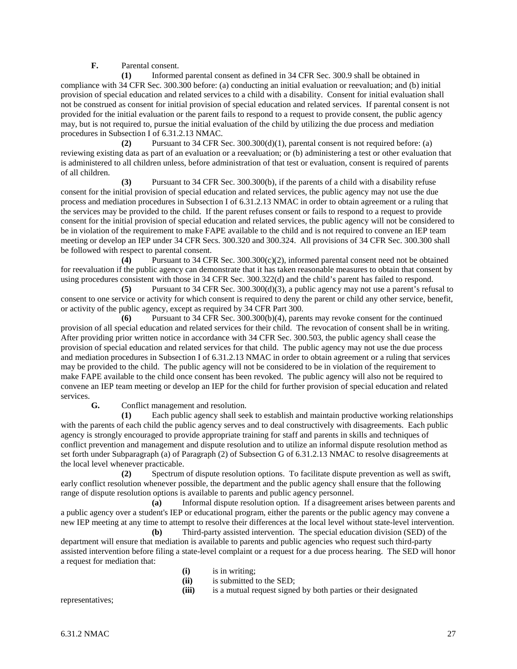**F.** Parental consent.

**(1)** Informed parental consent as defined in 34 CFR Sec. 300.9 shall be obtained in compliance with 34 CFR Sec. 300.300 before: (a) conducting an initial evaluation or reevaluation; and (b) initial provision of special education and related services to a child with a disability. Consent for initial evaluation shall not be construed as consent for initial provision of special education and related services. If parental consent is not provided for the initial evaluation or the parent fails to respond to a request to provide consent, the public agency may, but is not required to, pursue the initial evaluation of the child by utilizing the due process and mediation procedures in Subsection I of 6.31.2.13 NMAC.

**(2)** Pursuant to 34 CFR Sec. 300.300(d)(1), parental consent is not required before: (a) reviewing existing data as part of an evaluation or a reevaluation; or (b) administering a test or other evaluation that is administered to all children unless, before administration of that test or evaluation, consent is required of parents of all children.

**(3)** Pursuant to 34 CFR Sec. 300.300(b), if the parents of a child with a disability refuse consent for the initial provision of special education and related services, the public agency may not use the due process and mediation procedures in Subsection I of 6.31.2.13 NMAC in order to obtain agreement or a ruling that the services may be provided to the child. If the parent refuses consent or fails to respond to a request to provide consent for the initial provision of special education and related services, the public agency will not be considered to be in violation of the requirement to make FAPE available to the child and is not required to convene an IEP team meeting or develop an IEP under 34 CFR Secs. 300.320 and 300.324. All provisions of 34 CFR Sec. 300.300 shall be followed with respect to parental consent.

**(4)** Pursuant to 34 CFR Sec. 300.300(c)(2), informed parental consent need not be obtained for reevaluation if the public agency can demonstrate that it has taken reasonable measures to obtain that consent by using procedures consistent with those in 34 CFR Sec. 300.322(d) and the child's parent has failed to respond.

**(5)** Pursuant to 34 CFR Sec. 300.300(d)(3), a public agency may not use a parent's refusal to consent to one service or activity for which consent is required to deny the parent or child any other service, benefit, or activity of the public agency, except as required by 34 CFR Part 300.

**(6)** Pursuant to 34 CFR Sec. 300.300(b)(4), parents may revoke consent for the continued provision of all special education and related services for their child. The revocation of consent shall be in writing. After providing prior written notice in accordance with 34 CFR Sec. 300.503, the public agency shall cease the provision of special education and related services for that child. The public agency may not use the due process and mediation procedures in Subsection I of 6.31.2.13 NMAC in order to obtain agreement or a ruling that services may be provided to the child. The public agency will not be considered to be in violation of the requirement to make FAPE available to the child once consent has been revoked. The public agency will also not be required to convene an IEP team meeting or develop an IEP for the child for further provision of special education and related services.

**G.** Conflict management and resolution.

**(1)** Each public agency shall seek to establish and maintain productive working relationships with the parents of each child the public agency serves and to deal constructively with disagreements. Each public agency is strongly encouraged to provide appropriate training for staff and parents in skills and techniques of conflict prevention and management and dispute resolution and to utilize an informal dispute resolution method as set forth under Subparagraph (a) of Paragraph (2) of Subsection G of 6.31.2.13 NMAC to resolve disagreements at the local level whenever practicable.

**(2)** Spectrum of dispute resolution options. To facilitate dispute prevention as well as swift, early conflict resolution whenever possible, the department and the public agency shall ensure that the following range of dispute resolution options is available to parents and public agency personnel.

**(a)** Informal dispute resolution option. If a disagreement arises between parents and a public agency over a student's IEP or educational program, either the parents or the public agency may convene a new IEP meeting at any time to attempt to resolve their differences at the local level without state-level intervention.

**(b)** Third-party assisted intervention. The special education division (SED) of the department will ensure that mediation is available to parents and public agencies who request such third-party assisted intervention before filing a state-level complaint or a request for a due process hearing. The SED will honor a request for mediation that:

- **(i)** is in writing;
- **(ii)** is submitted to the SED;
- **(iii)** is a mutual request signed by both parties or their designated

representatives;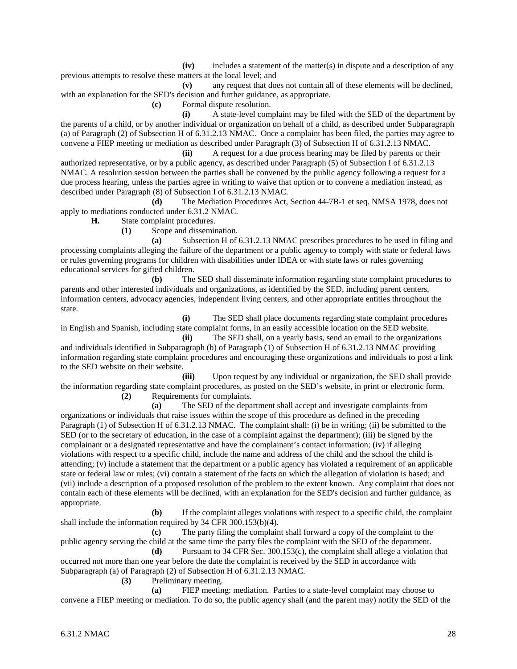**(iv)** includes a statement of the matter(s) in dispute and a description of any previous attempts to resolve these matters at the local level; and

**(v)** any request that does not contain all of these elements will be declined, with an explanation for the SED's decision and further guidance, as appropriate.

**(c)** Formal dispute resolution.

**(i)** A state-level complaint may be filed with the SED of the department by the parents of a child, or by another individual or organization on behalf of a child, as described under Subparagraph (a) of Paragraph (2) of Subsection H of 6.31.2.13 NMAC. Once a complaint has been filed, the parties may agree to convene a FIEP meeting or mediation as described under Paragraph (3) of Subsection H of 6.31.2.13 NMAC.

**(ii)** A request for a due process hearing may be filed by parents or their authorized representative, or by a public agency, as described under Paragraph (5) of Subsection I of 6.31.2.13 NMAC. A resolution session between the parties shall be convened by the public agency following a request for a due process hearing, unless the parties agree in writing to waive that option or to convene a mediation instead, as described under Paragraph (8) of Subsection I of 6.31.2.13 NMAC.

**(d)** The Mediation Procedures Act, Section 44-7B-1 et seq. NMSA 1978, does not apply to mediations conducted under 6.31.2 NMAC.

**H.** State complaint procedures.

**(1)** Scope and dissemination.

**(a)** Subsection H of 6.31.2.13 NMAC prescribes procedures to be used in filing and processing complaints alleging the failure of the department or a public agency to comply with state or federal laws or rules governing programs for children with disabilities under IDEA or with state laws or rules governing educational services for gifted children.

**(b)** The SED shall disseminate information regarding state complaint procedures to parents and other interested individuals and organizations, as identified by the SED, including parent centers, information centers, advocacy agencies, independent living centers, and other appropriate entities throughout the state.

**(i)** The SED shall place documents regarding state complaint procedures in English and Spanish, including state complaint forms, in an easily accessible location on the SED website.

**(ii)** The SED shall, on a yearly basis, send an email to the organizations and individuals identified in Subparagraph (b) of Paragraph (1) of Subsection H of 6.31.2.13 NMAC providing information regarding state complaint procedures and encouraging these organizations and individuals to post a link to the SED website on their website.

**(iii)** Upon request by any individual or organization, the SED shall provide the information regarding state complaint procedures, as posted on the SED's website, in print or electronic form. **(2)** Requirements for complaints.

**(a)** The SED of the department shall accept and investigate complaints from organizations or individuals that raise issues within the scope of this procedure as defined in the preceding Paragraph (1) of Subsection H of 6.31.2.13 NMAC. The complaint shall: (i) be in writing; (ii) be submitted to the SED (or to the secretary of education, in the case of a complaint against the department); (iii) be signed by the complainant or a designated representative and have the complainant's contact information; (iv) if alleging violations with respect to a specific child, include the name and address of the child and the school the child is attending; (v) include a statement that the department or a public agency has violated a requirement of an applicable state or federal law or rules; (vi) contain a statement of the facts on which the allegation of violation is based; and (vii) include a description of a proposed resolution of the problem to the extent known. Any complaint that does not contain each of these elements will be declined, with an explanation for the SED's decision and further guidance, as appropriate.

**(b)** If the complaint alleges violations with respect to a specific child, the complaint shall include the information required by 34 CFR 300.153(b)(4).

**(c)** The party filing the complaint shall forward a copy of the complaint to the public agency serving the child at the same time the party files the complaint with the SED of the department.

**(d)** Pursuant to 34 CFR Sec. 300.153(c), the complaint shall allege a violation that occurred not more than one year before the date the complaint is received by the SED in accordance with Subparagraph (a) of Paragraph (2) of Subsection H of 6.31.2.13 NMAC.

**(3)** Preliminary meeting.

**(a)** FIEP meeting: mediation. Parties to a state-level complaint may choose to convene a FIEP meeting or mediation. To do so, the public agency shall (and the parent may) notify the SED of the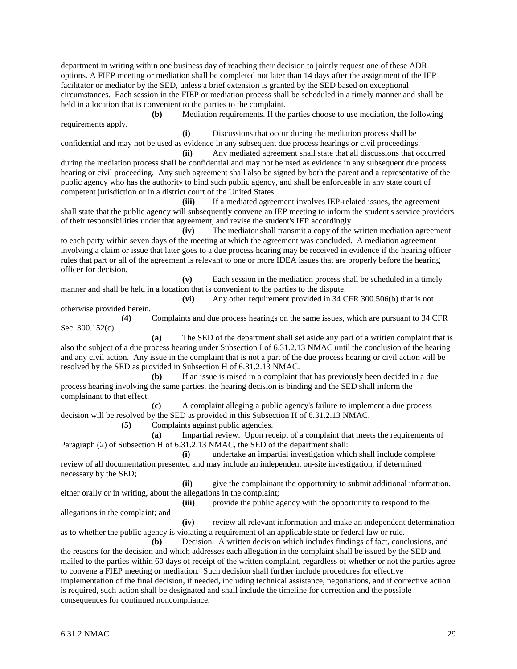department in writing within one business day of reaching their decision to jointly request one of these ADR options. A FIEP meeting or mediation shall be completed not later than 14 days after the assignment of the IEP facilitator or mediator by the SED, unless a brief extension is granted by the SED based on exceptional circumstances. Each session in the FIEP or mediation process shall be scheduled in a timely manner and shall be held in a location that is convenient to the parties to the complaint.

**(b)** Mediation requirements. If the parties choose to use mediation, the following requirements apply.

**(i)** Discussions that occur during the mediation process shall be confidential and may not be used as evidence in any subsequent due process hearings or civil proceedings.

**(ii)** Any mediated agreement shall state that all discussions that occurred during the mediation process shall be confidential and may not be used as evidence in any subsequent due process hearing or civil proceeding. Any such agreement shall also be signed by both the parent and a representative of the public agency who has the authority to bind such public agency, and shall be enforceable in any state court of competent jurisdiction or in a district court of the United States.

**(iii)** If a mediated agreement involves IEP-related issues, the agreement shall state that the public agency will subsequently convene an IEP meeting to inform the student's service providers of their responsibilities under that agreement, and revise the student's IEP accordingly.

**(iv)** The mediator shall transmit a copy of the written mediation agreement to each party within seven days of the meeting at which the agreement was concluded. A mediation agreement involving a claim or issue that later goes to a due process hearing may be received in evidence if the hearing officer rules that part or all of the agreement is relevant to one or more IDEA issues that are properly before the hearing officer for decision.

**(v)** Each session in the mediation process shall be scheduled in a timely manner and shall be held in a location that is convenient to the parties to the dispute.

**(vi)** Any other requirement provided in 34 CFR 300.506(b) that is not otherwise provided herein.

**(4)** Complaints and due process hearings on the same issues, which are pursuant to 34 CFR Sec. 300.152(c).

**(a)** The SED of the department shall set aside any part of a written complaint that is also the subject of a due process hearing under Subsection I of 6.31.2.13 NMAC until the conclusion of the hearing and any civil action. Any issue in the complaint that is not a part of the due process hearing or civil action will be resolved by the SED as provided in Subsection H of 6.31.2.13 NMAC.

**(b)** If an issue is raised in a complaint that has previously been decided in a due process hearing involving the same parties, the hearing decision is binding and the SED shall inform the complainant to that effect.

**(c)** A complaint alleging a public agency's failure to implement a due process decision will be resolved by the SED as provided in this Subsection H of 6.31.2.13 NMAC.

**(5)** Complaints against public agencies.

**(a)** Impartial review. Upon receipt of a complaint that meets the requirements of Paragraph (2) of Subsection H of 6.31.2.13 NMAC, the SED of the department shall:

**(i)** undertake an impartial investigation which shall include complete review of all documentation presented and may include an independent on-site investigation, if determined necessary by the SED;

**(ii)** give the complainant the opportunity to submit additional information, either orally or in writing, about the allegations in the complaint;

**(iii)** provide the public agency with the opportunity to respond to the

**(iv)** review all relevant information and make an independent determination as to whether the public agency is violating a requirement of an applicable state or federal law or rule.

**(b)** Decision. A written decision which includes findings of fact, conclusions, and the reasons for the decision and which addresses each allegation in the complaint shall be issued by the SED and mailed to the parties within 60 days of receipt of the written complaint, regardless of whether or not the parties agree to convene a FIEP meeting or mediation. Such decision shall further include procedures for effective implementation of the final decision, if needed, including technical assistance, negotiations, and if corrective action is required, such action shall be designated and shall include the timeline for correction and the possible consequences for continued noncompliance.

allegations in the complaint; and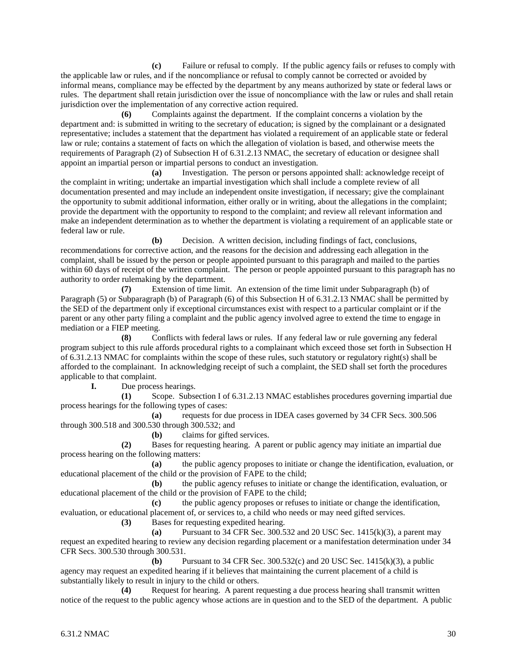**(c)** Failure or refusal to comply. If the public agency fails or refuses to comply with the applicable law or rules, and if the noncompliance or refusal to comply cannot be corrected or avoided by informal means, compliance may be effected by the department by any means authorized by state or federal laws or rules. The department shall retain jurisdiction over the issue of noncompliance with the law or rules and shall retain jurisdiction over the implementation of any corrective action required.

**(6)** Complaints against the department. If the complaint concerns a violation by the department and: is submitted in writing to the secretary of education; is signed by the complainant or a designated representative; includes a statement that the department has violated a requirement of an applicable state or federal law or rule; contains a statement of facts on which the allegation of violation is based, and otherwise meets the requirements of Paragraph (2) of Subsection H of 6.31.2.13 NMAC, the secretary of education or designee shall appoint an impartial person or impartial persons to conduct an investigation.

**(a)** Investigation. The person or persons appointed shall: acknowledge receipt of the complaint in writing; undertake an impartial investigation which shall include a complete review of all documentation presented and may include an independent onsite investigation, if necessary; give the complainant the opportunity to submit additional information, either orally or in writing, about the allegations in the complaint; provide the department with the opportunity to respond to the complaint; and review all relevant information and make an independent determination as to whether the department is violating a requirement of an applicable state or federal law or rule.

**(b)** Decision. A written decision, including findings of fact, conclusions, recommendations for corrective action, and the reasons for the decision and addressing each allegation in the complaint, shall be issued by the person or people appointed pursuant to this paragraph and mailed to the parties within 60 days of receipt of the written complaint. The person or people appointed pursuant to this paragraph has no authority to order rulemaking by the department.

**(7)** Extension of time limit. An extension of the time limit under Subparagraph (b) of Paragraph (5) or Subparagraph (b) of Paragraph (6) of this Subsection H of 6.31.2.13 NMAC shall be permitted by the SED of the department only if exceptional circumstances exist with respect to a particular complaint or if the parent or any other party filing a complaint and the public agency involved agree to extend the time to engage in mediation or a FIEP meeting.

**(8)** Conflicts with federal laws or rules. If any federal law or rule governing any federal program subject to this rule affords procedural rights to a complainant which exceed those set forth in Subsection H of 6.31.2.13 NMAC for complaints within the scope of these rules, such statutory or regulatory right(s) shall be afforded to the complainant. In acknowledging receipt of such a complaint, the SED shall set forth the procedures applicable to that complaint.

**I.** Due process hearings.

**(1)** Scope. Subsection I of 6.31.2.13 NMAC establishes procedures governing impartial due process hearings for the following types of cases:

**(a)** requests for due process in IDEA cases governed by 34 CFR Secs. 300.506 through 300.518 and 300.530 through 300.532; and

**(b)** claims for gifted services.

**(2)** Bases for requesting hearing. A parent or public agency may initiate an impartial due process hearing on the following matters:

**(a)** the public agency proposes to initiate or change the identification, evaluation, or educational placement of the child or the provision of FAPE to the child;

**(b)** the public agency refuses to initiate or change the identification, evaluation, or educational placement of the child or the provision of FAPE to the child;

**(c)** the public agency proposes or refuses to initiate or change the identification, evaluation, or educational placement of, or services to, a child who needs or may need gifted services.

**(3)** Bases for requesting expedited hearing.

**(a)** Pursuant to 34 CFR Sec. 300.532 and 20 USC Sec. 1415(k)(3), a parent may request an expedited hearing to review any decision regarding placement or a manifestation determination under 34 CFR Secs. 300.530 through 300.531.

**(b)** Pursuant to 34 CFR Sec. 300.532(c) and 20 USC Sec. 1415(k)(3), a public agency may request an expedited hearing if it believes that maintaining the current placement of a child is substantially likely to result in injury to the child or others.

**(4)** Request for hearing. A parent requesting a due process hearing shall transmit written notice of the request to the public agency whose actions are in question and to the SED of the department. A public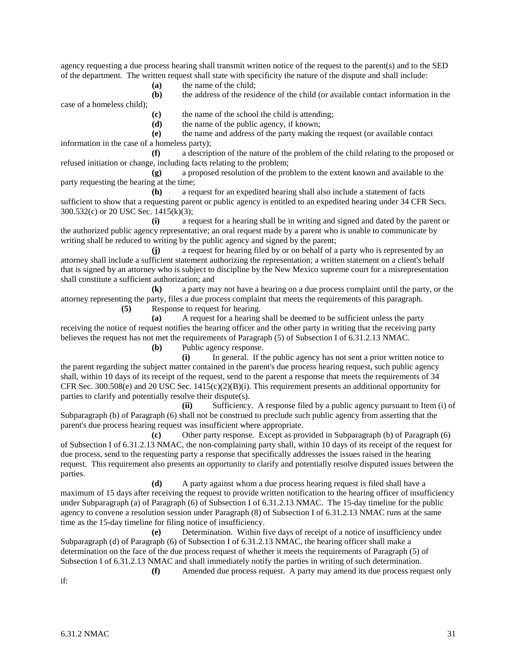agency requesting a due process hearing shall transmit written notice of the request to the parent(s) and to the SED of the department. The written request shall state with specificity the nature of the dispute and shall include:

**(a)** the name of the child;

**(b)** the address of the residence of the child (or available contact information in the case of a homeless child);

**(c)** the name of the school the child is attending;

**(d)** the name of the public agency, if known;

**(e)** the name and address of the party making the request (or available contact information in the case of a homeless party);

**(f)** a description of the nature of the problem of the child relating to the proposed or refused initiation or change, including facts relating to the problem;

**(g)** a proposed resolution of the problem to the extent known and available to the party requesting the hearing at the time;

**(h)** a request for an expedited hearing shall also include a statement of facts sufficient to show that a requesting parent or public agency is entitled to an expedited hearing under 34 CFR Secs. 300.532(c) or 20 USC Sec. 1415(k)(3);

**(i)** a request for a hearing shall be in writing and signed and dated by the parent or the authorized public agency representative; an oral request made by a parent who is unable to communicate by writing shall be reduced to writing by the public agency and signed by the parent;

**(j)** a request for hearing filed by or on behalf of a party who is represented by an attorney shall include a sufficient statement authorizing the representation; a written statement on a client's behalf that is signed by an attorney who is subject to discipline by the New Mexico supreme court for a misrepresentation shall constitute a sufficient authorization; and

**(k)** a party may not have a hearing on a due process complaint until the party, or the attorney representing the party, files a due process complaint that meets the requirements of this paragraph.

**(5)** Response to request for hearing.

**(a)** A request for a hearing shall be deemed to be sufficient unless the party receiving the notice of request notifies the hearing officer and the other party in writing that the receiving party believes the request has not met the requirements of Paragraph (5) of Subsection I of 6.31.2.13 NMAC.

**(b)** Public agency response.

**(i)** In general. If the public agency has not sent a prior written notice to the parent regarding the subject matter contained in the parent's due process hearing request, such public agency shall, within 10 days of its receipt of the request, send to the parent a response that meets the requirements of 34 CFR Sec. 300.508(e) and 20 USC Sec.  $1415(c)(2)(B)(i)$ . This requirement presents an additional opportunity for parties to clarify and potentially resolve their dispute(s).

**(ii)** Sufficiency. A response filed by a public agency pursuant to Item (i) of Subparagraph (b) of Paragraph (6) shall not be construed to preclude such public agency from asserting that the parent's due process hearing request was insufficient where appropriate.

**(c)** Other party response. Except as provided in Subparagraph (b) of Paragraph (6) of Subsection I of 6.31.2.13 NMAC, the non-complaining party shall, within 10 days of its receipt of the request for due process, send to the requesting party a response that specifically addresses the issues raised in the hearing request. This requirement also presents an opportunity to clarify and potentially resolve disputed issues between the parties.

**(d)** A party against whom a due process hearing request is filed shall have a maximum of 15 days after receiving the request to provide written notification to the hearing officer of insufficiency under Subparagraph (a) of Paragraph (6) of Subsection I of 6.31.2.13 NMAC. The 15-day timeline for the public agency to convene a resolution session under Paragraph (8) of Subsection I of 6.31.2.13 NMAC runs at the same time as the 15-day timeline for filing notice of insufficiency.

**(e)** Determination. Within five days of receipt of a notice of insufficiency under Subparagraph (d) of Paragraph (6) of Subsection I of 6.31.2.13 NMAC, the hearing officer shall make a determination on the face of the due process request of whether it meets the requirements of Paragraph (5) of Subsection I of 6.31.2.13 NMAC and shall immediately notify the parties in writing of such determination. **(f)** Amended due process request. A party may amend its due process request only

if: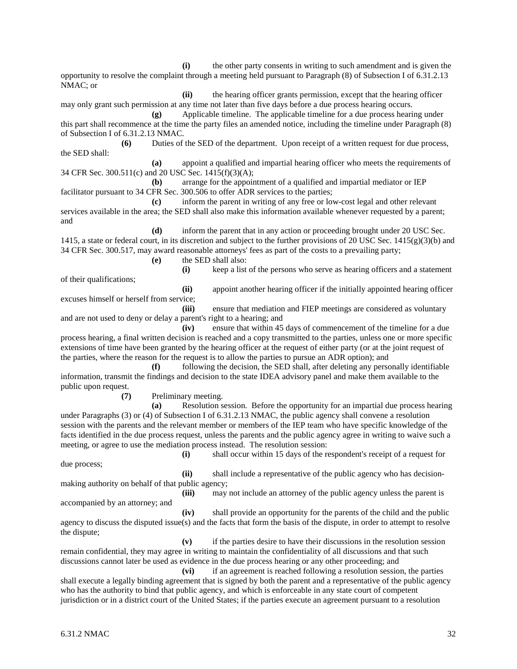**(i)** the other party consents in writing to such amendment and is given the opportunity to resolve the complaint through a meeting held pursuant to Paragraph (8) of Subsection I of 6.31.2.13 NMAC; or

**(ii)** the hearing officer grants permission, except that the hearing officer may only grant such permission at any time not later than five days before a due process hearing occurs.

**(g)** Applicable timeline. The applicable timeline for a due process hearing under this part shall recommence at the time the party files an amended notice, including the timeline under Paragraph (8) of Subsection I of 6.31.2.13 NMAC.

**(6)** Duties of the SED of the department. Upon receipt of a written request for due process, the SED shall:

**(a)** appoint a qualified and impartial hearing officer who meets the requirements of 34 CFR Sec. 300.511(c) and 20 USC Sec. 1415(f)(3)(A);

**(b)** arrange for the appointment of a qualified and impartial mediator or IEP facilitator pursuant to 34 CFR Sec. 300.506 to offer ADR services to the parties;

**(c)** inform the parent in writing of any free or low-cost legal and other relevant services available in the area; the SED shall also make this information available whenever requested by a parent; and

**(d)** inform the parent that in any action or proceeding brought under 20 USC Sec. 1415, a state or federal court, in its discretion and subject to the further provisions of 20 USC Sec. 1415(g)(3)(b) and 34 CFR Sec. 300.517, may award reasonable attorneys' fees as part of the costs to a prevailing party;

**(e)** the SED shall also:

of their qualifications;

**(i)** keep a list of the persons who serve as hearing officers and a statement

**(ii)** appoint another hearing officer if the initially appointed hearing officer excuses himself or herself from service;

**(iii)** ensure that mediation and FIEP meetings are considered as voluntary and are not used to deny or delay a parent's right to a hearing; and

**(iv)** ensure that within 45 days of commencement of the timeline for a due process hearing, a final written decision is reached and a copy transmitted to the parties, unless one or more specific extensions of time have been granted by the hearing officer at the request of either party (or at the joint request of the parties, where the reason for the request is to allow the parties to pursue an ADR option); and

**(f)** following the decision, the SED shall, after deleting any personally identifiable information, transmit the findings and decision to the state IDEA advisory panel and make them available to the public upon request.

**(7)** Preliminary meeting.

**(a)** Resolution session. Before the opportunity for an impartial due process hearing under Paragraphs (3) or (4) of Subsection I of 6.31.2.13 NMAC, the public agency shall convene a resolution session with the parents and the relevant member or members of the IEP team who have specific knowledge of the facts identified in the due process request, unless the parents and the public agency agree in writing to waive such a meeting, or agree to use the mediation process instead. The resolution session:

due process;

**(i)** shall occur within 15 days of the respondent's receipt of a request for

**(ii)** shall include a representative of the public agency who has decisionmaking authority on behalf of that public agency;

accompanied by an attorney; and

**(iii)** may not include an attorney of the public agency unless the parent is

**(iv)** shall provide an opportunity for the parents of the child and the public agency to discuss the disputed issue(s) and the facts that form the basis of the dispute, in order to attempt to resolve the dispute;

**(v)** if the parties desire to have their discussions in the resolution session remain confidential, they may agree in writing to maintain the confidentiality of all discussions and that such discussions cannot later be used as evidence in the due process hearing or any other proceeding; and

**(vi)** if an agreement is reached following a resolution session, the parties shall execute a legally binding agreement that is signed by both the parent and a representative of the public agency who has the authority to bind that public agency, and which is enforceable in any state court of competent jurisdiction or in a district court of the United States; if the parties execute an agreement pursuant to a resolution

6.31.2 NMAC  $\frac{32}{2}$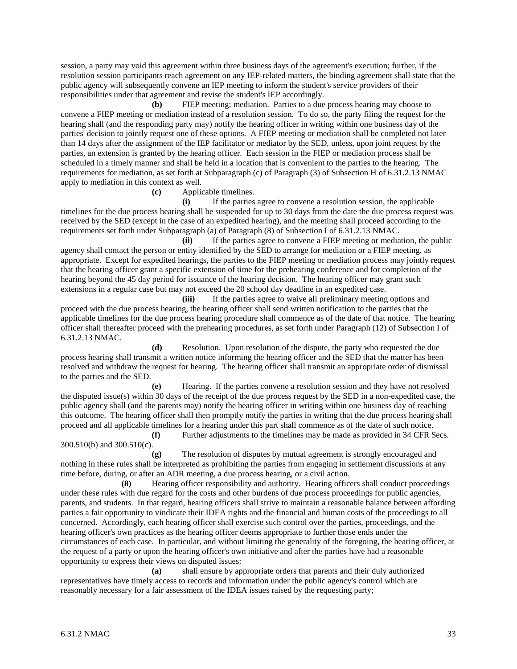session, a party may void this agreement within three business days of the agreement's execution; further, if the resolution session participants reach agreement on any IEP-related matters, the binding agreement shall state that the public agency will subsequently convene an IEP meeting to inform the student's service providers of their responsibilities under that agreement and revise the student's IEP accordingly.

**(b)** FIEP meeting; mediation. Parties to a due process hearing may choose to convene a FIEP meeting or mediation instead of a resolution session. To do so, the party filing the request for the hearing shall (and the responding party may) notify the hearing officer in writing within one business day of the parties' decision to jointly request one of these options. A FIEP meeting or mediation shall be completed not later than 14 days after the assignment of the IEP facilitator or mediator by the SED, unless, upon joint request by the parties, an extension is granted by the hearing officer. Each session in the FIEP or mediation process shall be scheduled in a timely manner and shall be held in a location that is convenient to the parties to the hearing. The requirements for mediation, as set forth at Subparagraph (c) of Paragraph (3) of Subsection H of 6.31.2.13 NMAC apply to mediation in this context as well.

**(c)** Applicable timelines.

**(i)** If the parties agree to convene a resolution session, the applicable timelines for the due process hearing shall be suspended for up to 30 days from the date the due process request was received by the SED (except in the case of an expedited hearing), and the meeting shall proceed according to the requirements set forth under Subparagraph (a) of Paragraph (8) of Subsection I of 6.31.2.13 NMAC.

**(ii)** If the parties agree to convene a FIEP meeting or mediation, the public agency shall contact the person or entity identified by the SED to arrange for mediation or a FIEP meeting, as appropriate. Except for expedited hearings, the parties to the FIEP meeting or mediation process may jointly request that the hearing officer grant a specific extension of time for the prehearing conference and for completion of the hearing beyond the 45 day period for issuance of the hearing decision. The hearing officer may grant such extensions in a regular case but may not exceed the 20 school day deadline in an expedited case.

**(iii)** If the parties agree to waive all preliminary meeting options and proceed with the due process hearing, the hearing officer shall send written notification to the parties that the applicable timelines for the due process hearing procedure shall commence as of the date of that notice. The hearing officer shall thereafter proceed with the prehearing procedures, as set forth under Paragraph (12) of Subsection I of 6.31.2.13 NMAC.

**(d)** Resolution. Upon resolution of the dispute, the party who requested the due process hearing shall transmit a written notice informing the hearing officer and the SED that the matter has been resolved and withdraw the request for hearing. The hearing officer shall transmit an appropriate order of dismissal to the parties and the SED.

**(e)** Hearing. If the parties convene a resolution session and they have not resolved the disputed issue(s) within 30 days of the receipt of the due process request by the SED in a non-expedited case, the public agency shall (and the parents may) notify the hearing officer in writing within one business day of reaching this outcome. The hearing officer shall then promptly notify the parties in writing that the due process hearing shall proceed and all applicable timelines for a hearing under this part shall commence as of the date of such notice.

**(f)** Further adjustments to the timelines may be made as provided in 34 CFR Secs. 300.510(b) and 300.510(c).

**(g)** The resolution of disputes by mutual agreement is strongly encouraged and nothing in these rules shall be interpreted as prohibiting the parties from engaging in settlement discussions at any time before, during, or after an ADR meeting, a due process hearing, or a civil action.

**(8)** Hearing officer responsibility and authority. Hearing officers shall conduct proceedings under these rules with due regard for the costs and other burdens of due process proceedings for public agencies, parents, and students. In that regard, hearing officers shall strive to maintain a reasonable balance between affording parties a fair opportunity to vindicate their IDEA rights and the financial and human costs of the proceedings to all concerned. Accordingly, each hearing officer shall exercise such control over the parties, proceedings, and the hearing officer's own practices as the hearing officer deems appropriate to further those ends under the circumstances of each case. In particular, and without limiting the generality of the foregoing, the hearing officer, at the request of a party or upon the hearing officer's own initiative and after the parties have had a reasonable opportunity to express their views on disputed issues:

**(a)** shall ensure by appropriate orders that parents and their duly authorized representatives have timely access to records and information under the public agency's control which are reasonably necessary for a fair assessment of the IDEA issues raised by the requesting party;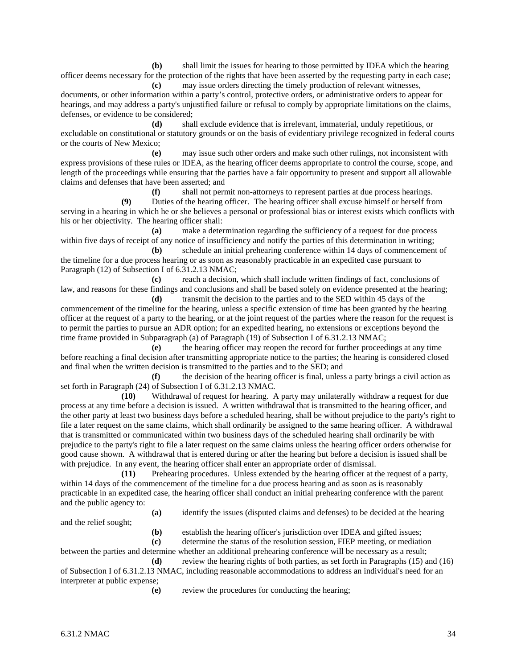**(b)** shall limit the issues for hearing to those permitted by IDEA which the hearing officer deems necessary for the protection of the rights that have been asserted by the requesting party in each case;

**(c)** may issue orders directing the timely production of relevant witnesses, documents, or other information within a party's control, protective orders, or administrative orders to appear for hearings, and may address a party's unjustified failure or refusal to comply by appropriate limitations on the claims, defenses, or evidence to be considered;

**(d)** shall exclude evidence that is irrelevant, immaterial, unduly repetitious, or excludable on constitutional or statutory grounds or on the basis of evidentiary privilege recognized in federal courts or the courts of New Mexico;

**(e)** may issue such other orders and make such other rulings, not inconsistent with express provisions of these rules or IDEA, as the hearing officer deems appropriate to control the course, scope, and length of the proceedings while ensuring that the parties have a fair opportunity to present and support all allowable claims and defenses that have been asserted; and<br>
(f) shall not perm

shall not permit non-attorneys to represent parties at due process hearings.

**(9)** Duties of the hearing officer. The hearing officer shall excuse himself or herself from serving in a hearing in which he or she believes a personal or professional bias or interest exists which conflicts with his or her objectivity. The hearing officer shall:

**(a)** make a determination regarding the sufficiency of a request for due process within five days of receipt of any notice of insufficiency and notify the parties of this determination in writing;

**(b)** schedule an initial prehearing conference within 14 days of commencement of the timeline for a due process hearing or as soon as reasonably practicable in an expedited case pursuant to Paragraph (12) of Subsection I of 6.31.2.13 NMAC;

**(c)** reach a decision, which shall include written findings of fact, conclusions of law, and reasons for these findings and conclusions and shall be based solely on evidence presented at the hearing; **(d)** transmit the decision to the parties and to the SED within 45 days of the

commencement of the timeline for the hearing, unless a specific extension of time has been granted by the hearing officer at the request of a party to the hearing, or at the joint request of the parties where the reason for the request is to permit the parties to pursue an ADR option; for an expedited hearing, no extensions or exceptions beyond the time frame provided in Subparagraph (a) of Paragraph (19) of Subsection I of 6.31.2.13 NMAC;

**(e)** the hearing officer may reopen the record for further proceedings at any time before reaching a final decision after transmitting appropriate notice to the parties; the hearing is considered closed and final when the written decision is transmitted to the parties and to the SED; and

**(f)** the decision of the hearing officer is final, unless a party brings a civil action as set forth in Paragraph (24) of Subsection I of 6.31.2.13 NMAC.

**(10)** Withdrawal of request for hearing. A party may unilaterally withdraw a request for due process at any time before a decision is issued. A written withdrawal that is transmitted to the hearing officer, and the other party at least two business days before a scheduled hearing, shall be without prejudice to the party's right to file a later request on the same claims, which shall ordinarily be assigned to the same hearing officer. A withdrawal that is transmitted or communicated within two business days of the scheduled hearing shall ordinarily be with prejudice to the party's right to file a later request on the same claims unless the hearing officer orders otherwise for good cause shown. A withdrawal that is entered during or after the hearing but before a decision is issued shall be with prejudice. In any event, the hearing officer shall enter an appropriate order of dismissal.

**(11)** Prehearing procedures. Unless extended by the hearing officer at the request of a party, within 14 days of the commencement of the timeline for a due process hearing and as soon as is reasonably practicable in an expedited case, the hearing officer shall conduct an initial prehearing conference with the parent and the public agency to:

**(a)** identify the issues (disputed claims and defenses) to be decided at the hearing

and the relief sought;

**(b)** establish the hearing officer's jurisdiction over IDEA and gifted issues;

**(c)** determine the status of the resolution session, FIEP meeting, or mediation

between the parties and determine whether an additional prehearing conference will be necessary as a result; **(d)** review the hearing rights of both parties, as set forth in Paragraphs (15) and (16)

of Subsection I of 6.31.2.13 NMAC, including reasonable accommodations to address an individual's need for an interpreter at public expense;

**(e)** review the procedures for conducting the hearing;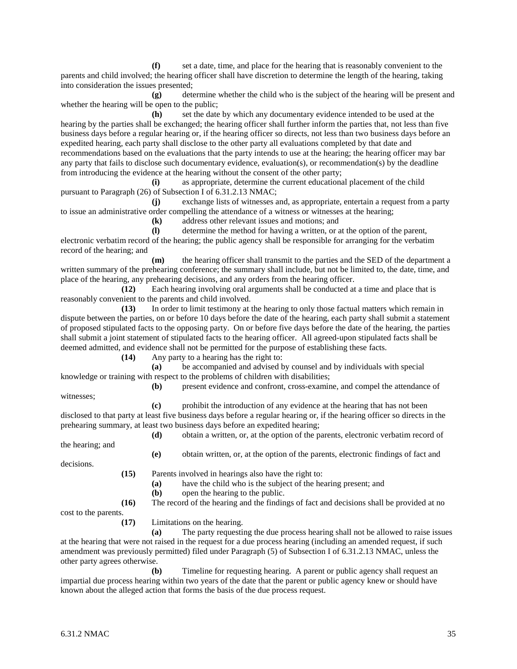**(f)** set a date, time, and place for the hearing that is reasonably convenient to the parents and child involved; the hearing officer shall have discretion to determine the length of the hearing, taking into consideration the issues presented;

**(g)** determine whether the child who is the subject of the hearing will be present and whether the hearing will be open to the public;

**(h)** set the date by which any documentary evidence intended to be used at the hearing by the parties shall be exchanged; the hearing officer shall further inform the parties that, not less than five business days before a regular hearing or, if the hearing officer so directs, not less than two business days before an expedited hearing, each party shall disclose to the other party all evaluations completed by that date and recommendations based on the evaluations that the party intends to use at the hearing; the hearing officer may bar any party that fails to disclose such documentary evidence, evaluation(s), or recommendation(s) by the deadline from introducing the evidence at the hearing without the consent of the other party;

**(i)** as appropriate, determine the current educational placement of the child pursuant to Paragraph (26) of Subsection I of 6.31.2.13 NMAC;

**(j)** exchange lists of witnesses and, as appropriate, entertain a request from a party to issue an administrative order compelling the attendance of a witness or witnesses at the hearing;

**(k)** address other relevant issues and motions; and

**(l)** determine the method for having a written, or at the option of the parent, electronic verbatim record of the hearing; the public agency shall be responsible for arranging for the verbatim record of the hearing; and

**(m)** the hearing officer shall transmit to the parties and the SED of the department a written summary of the prehearing conference; the summary shall include, but not be limited to, the date, time, and place of the hearing, any prehearing decisions, and any orders from the hearing officer.

**(12)** Each hearing involving oral arguments shall be conducted at a time and place that is reasonably convenient to the parents and child involved.

**(13)** In order to limit testimony at the hearing to only those factual matters which remain in dispute between the parties, on or before 10 days before the date of the hearing, each party shall submit a statement of proposed stipulated facts to the opposing party. On or before five days before the date of the hearing, the parties shall submit a joint statement of stipulated facts to the hearing officer. All agreed-upon stipulated facts shall be deemed admitted, and evidence shall not be permitted for the purpose of establishing these facts.

**(14)** Any party to a hearing has the right to:

**(a)** be accompanied and advised by counsel and by individuals with special knowledge or training with respect to the problems of children with disabilities;

**(b)** present evidence and confront, cross-examine, and compel the attendance of witnesses;

**(c)** prohibit the introduction of any evidence at the hearing that has not been disclosed to that party at least five business days before a regular hearing or, if the hearing officer so directs in the prehearing summary, at least two business days before an expedited hearing;

**(d)** obtain a written, or, at the option of the parents, electronic verbatim record of the hearing; and

decisions.

**(15)** Parents involved in hearings also have the right to: **(a)** have the child who is the subject of the hearing present; and **(b)** open the hearing to the public. **(16)** The record of the hearing and the findings of fact and decisions shall be provided at no

**(e)** obtain written, or, at the option of the parents, electronic findings of fact and

cost to the parents.

**(17)** Limitations on the hearing.

**(a)** The party requesting the due process hearing shall not be allowed to raise issues at the hearing that were not raised in the request for a due process hearing (including an amended request, if such amendment was previously permitted) filed under Paragraph (5) of Subsection I of 6.31.2.13 NMAC, unless the other party agrees otherwise.

**(b)** Timeline for requesting hearing. A parent or public agency shall request an impartial due process hearing within two years of the date that the parent or public agency knew or should have known about the alleged action that forms the basis of the due process request.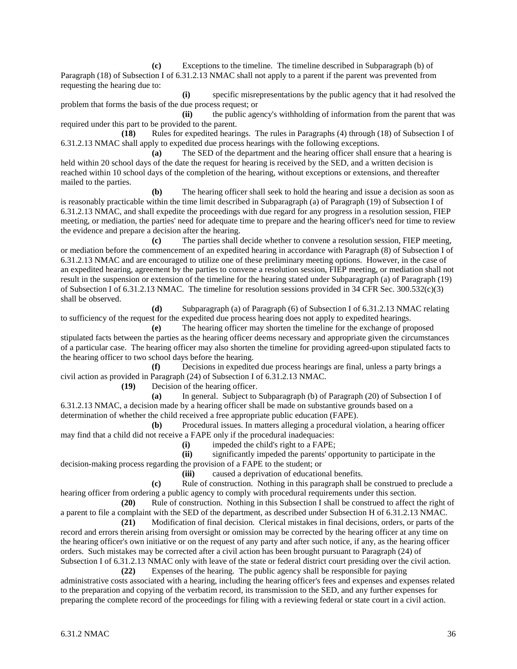**(c)** Exceptions to the timeline. The timeline described in Subparagraph (b) of Paragraph (18) of Subsection I of 6.31.2.13 NMAC shall not apply to a parent if the parent was prevented from requesting the hearing due to:

**(i)** specific misrepresentations by the public agency that it had resolved the problem that forms the basis of the due process request; or

**(ii)** the public agency's withholding of information from the parent that was required under this part to be provided to the parent.

**(18)** Rules for expedited hearings. The rules in Paragraphs (4) through (18) of Subsection I of 6.31.2.13 NMAC shall apply to expedited due process hearings with the following exceptions.

**(a)** The SED of the department and the hearing officer shall ensure that a hearing is held within 20 school days of the date the request for hearing is received by the SED, and a written decision is reached within 10 school days of the completion of the hearing, without exceptions or extensions, and thereafter mailed to the parties.

**(b)** The hearing officer shall seek to hold the hearing and issue a decision as soon as is reasonably practicable within the time limit described in Subparagraph (a) of Paragraph (19) of Subsection I of 6.31.2.13 NMAC, and shall expedite the proceedings with due regard for any progress in a resolution session, FIEP meeting, or mediation, the parties' need for adequate time to prepare and the hearing officer's need for time to review the evidence and prepare a decision after the hearing.

**(c)** The parties shall decide whether to convene a resolution session, FIEP meeting, or mediation before the commencement of an expedited hearing in accordance with Paragraph (8) of Subsection I of 6.31.2.13 NMAC and are encouraged to utilize one of these preliminary meeting options. However, in the case of an expedited hearing, agreement by the parties to convene a resolution session, FIEP meeting, or mediation shall not result in the suspension or extension of the timeline for the hearing stated under Subparagraph (a) of Paragraph (19) of Subsection I of 6.31.2.13 NMAC. The timeline for resolution sessions provided in 34 CFR Sec. 300.532(c)(3) shall be observed.

**(d)** Subparagraph (a) of Paragraph (6) of Subsection I of 6.31.2.13 NMAC relating to sufficiency of the request for the expedited due process hearing does not apply to expedited hearings.

**(e)** The hearing officer may shorten the timeline for the exchange of proposed stipulated facts between the parties as the hearing officer deems necessary and appropriate given the circumstances of a particular case. The hearing officer may also shorten the timeline for providing agreed-upon stipulated facts to the hearing officer to two school days before the hearing.

**(f)** Decisions in expedited due process hearings are final, unless a party brings a civil action as provided in Paragraph (24) of Subsection I of 6.31.2.13 NMAC.

**(19)** Decision of the hearing officer.

**(a)** In general. Subject to Subparagraph (b) of Paragraph (20) of Subsection I of 6.31.2.13 NMAC, a decision made by a hearing officer shall be made on substantive grounds based on a determination of whether the child received a free appropriate public education (FAPE).

**(b)** Procedural issues. In matters alleging a procedural violation, a hearing officer may find that a child did not receive a FAPE only if the procedural inadequacies:

**(i)** impeded the child's right to a FAPE;

**(ii)** significantly impeded the parents' opportunity to participate in the decision-making process regarding the provision of a FAPE to the student; or

**(iii)** caused a deprivation of educational benefits.

**(c)** Rule of construction. Nothing in this paragraph shall be construed to preclude a hearing officer from ordering a public agency to comply with procedural requirements under this section.

**(20)** Rule of construction. Nothing in this Subsection I shall be construed to affect the right of a parent to file a complaint with the SED of the department, as described under Subsection H of 6.31.2.13 NMAC.

**(21)** Modification of final decision. Clerical mistakes in final decisions, orders, or parts of the record and errors therein arising from oversight or omission may be corrected by the hearing officer at any time on the hearing officer's own initiative or on the request of any party and after such notice, if any, as the hearing officer orders. Such mistakes may be corrected after a civil action has been brought pursuant to Paragraph (24) of Subsection I of 6.31.2.13 NMAC only with leave of the state or federal district court presiding over the civil action.

**(22)** Expenses of the hearing. The public agency shall be responsible for paying administrative costs associated with a hearing, including the hearing officer's fees and expenses and expenses related to the preparation and copying of the verbatim record, its transmission to the SED, and any further expenses for preparing the complete record of the proceedings for filing with a reviewing federal or state court in a civil action.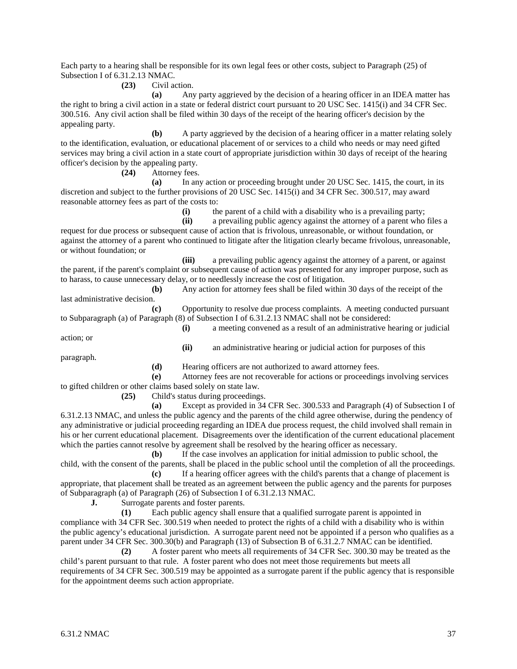Each party to a hearing shall be responsible for its own legal fees or other costs, subject to Paragraph (25) of Subsection I of 6.31.2.13 NMAC.

## **(23)** Civil action.

**(a)** Any party aggrieved by the decision of a hearing officer in an IDEA matter has the right to bring a civil action in a state or federal district court pursuant to 20 USC Sec. 1415(i) and 34 CFR Sec. 300.516. Any civil action shall be filed within 30 days of the receipt of the hearing officer's decision by the appealing party.

**(b)** A party aggrieved by the decision of a hearing officer in a matter relating solely to the identification, evaluation, or educational placement of or services to a child who needs or may need gifted services may bring a civil action in a state court of appropriate jurisdiction within 30 days of receipt of the hearing officer's decision by the appealing party.

**(24)** Attorney fees.

**(a)** In any action or proceeding brought under 20 USC Sec. 1415, the court, in its discretion and subject to the further provisions of 20 USC Sec. 1415(i) and 34 CFR Sec. 300.517, may award reasonable attorney fees as part of the costs to:

**(i)** the parent of a child with a disability who is a prevailing party;

**(ii)** a prevailing public agency against the attorney of a parent who files a

request for due process or subsequent cause of action that is frivolous, unreasonable, or without foundation, or against the attorney of a parent who continued to litigate after the litigation clearly became frivolous, unreasonable, or without foundation; or

**(iii)** a prevailing public agency against the attorney of a parent, or against the parent, if the parent's complaint or subsequent cause of action was presented for any improper purpose, such as to harass, to cause unnecessary delay, or to needlessly increase the cost of litigation.

**(b)** Any action for attorney fees shall be filed within 30 days of the receipt of the last administrative decision.

**(c)** Opportunity to resolve due process complaints. A meeting conducted pursuant to Subparagraph (a) of Paragraph (8) of Subsection I of 6.31.2.13 NMAC shall not be considered:

action; or

**(i)** a meeting convened as a result of an administrative hearing or judicial **(ii)** an administrative hearing or judicial action for purposes of this

paragraph.

**(d)** Hearing officers are not authorized to award attorney fees.

**(e)** Attorney fees are not recoverable for actions or proceedings involving services to gifted children or other claims based solely on state law.

**(25)** Child's status during proceedings.

**(a)** Except as provided in 34 CFR Sec. 300.533 and Paragraph (4) of Subsection I of 6.31.2.13 NMAC, and unless the public agency and the parents of the child agree otherwise, during the pendency of any administrative or judicial proceeding regarding an IDEA due process request, the child involved shall remain in his or her current educational placement. Disagreements over the identification of the current educational placement which the parties cannot resolve by agreement shall be resolved by the hearing officer as necessary.

**(b)** If the case involves an application for initial admission to public school, the child, with the consent of the parents, shall be placed in the public school until the completion of all the proceedings.

**(c)** If a hearing officer agrees with the child's parents that a change of placement is appropriate, that placement shall be treated as an agreement between the public agency and the parents for purposes of Subparagraph (a) of Paragraph (26) of Subsection I of 6.31.2.13 NMAC.

**J.** Surrogate parents and foster parents.

**(1)** Each public agency shall ensure that a qualified surrogate parent is appointed in compliance with 34 CFR Sec. 300.519 when needed to protect the rights of a child with a disability who is within the public agency's educational jurisdiction. A surrogate parent need not be appointed if a person who qualifies as a parent under 34 CFR Sec. 300.30(b) and Paragraph (13) of Subsection B of 6.31.2.7 NMAC can be identified.

**(2)** A foster parent who meets all requirements of 34 CFR Sec. 300.30 may be treated as the child's parent pursuant to that rule. A foster parent who does not meet those requirements but meets all requirements of 34 CFR Sec. 300.519 may be appointed as a surrogate parent if the public agency that is responsible for the appointment deems such action appropriate.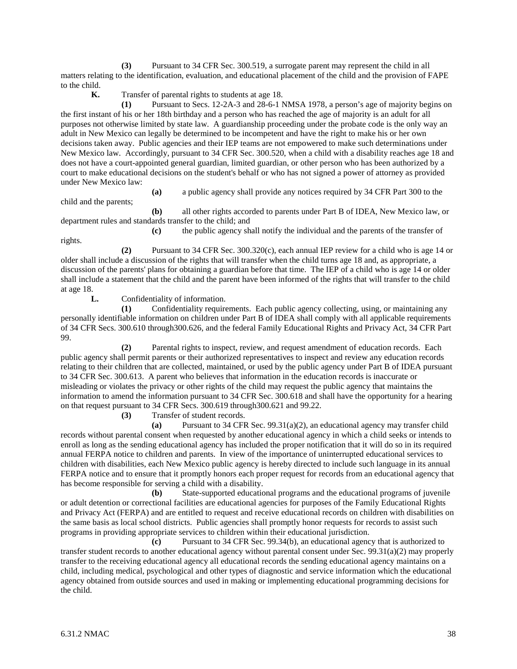**(3)** Pursuant to 34 CFR Sec. 300.519, a surrogate parent may represent the child in all matters relating to the identification, evaluation, and educational placement of the child and the provision of FAPE to the child.

**K.** Transfer of parental rights to students at age 18.

**(1)** Pursuant to Secs. 12-2A-3 and 28-6-1 NMSA 1978, a person's age of majority begins on the first instant of his or her 18th birthday and a person who has reached the age of majority is an adult for all purposes not otherwise limited by state law. A guardianship proceeding under the probate code is the only way an adult in New Mexico can legally be determined to be incompetent and have the right to make his or her own decisions taken away. Public agencies and their IEP teams are not empowered to make such determinations under New Mexico law. Accordingly, pursuant to 34 CFR Sec. 300.520, when a child with a disability reaches age 18 and does not have a court-appointed general guardian, limited guardian, or other person who has been authorized by a court to make educational decisions on the student's behalf or who has not signed a power of attorney as provided under New Mexico law:

**(a)** a public agency shall provide any notices required by 34 CFR Part 300 to the

**(b)** all other rights accorded to parents under Part B of IDEA, New Mexico law, or department rules and standards transfer to the child; and

**(c)** the public agency shall notify the individual and the parents of the transfer of rights.

**(2)** Pursuant to 34 CFR Sec. 300.320(c), each annual IEP review for a child who is age 14 or older shall include a discussion of the rights that will transfer when the child turns age 18 and, as appropriate, a discussion of the parents' plans for obtaining a guardian before that time. The IEP of a child who is age 14 or older shall include a statement that the child and the parent have been informed of the rights that will transfer to the child at age 18.

**L.** Confidentiality of information.

child and the parents;

**(1)** Confidentiality requirements. Each public agency collecting, using, or maintaining any personally identifiable information on children under Part B of IDEA shall comply with all applicable requirements of 34 CFR Secs. 300.610 through300.626, and the federal Family Educational Rights and Privacy Act, 34 CFR Part 99.

**(2)** Parental rights to inspect, review, and request amendment of education records. Each public agency shall permit parents or their authorized representatives to inspect and review any education records relating to their children that are collected, maintained, or used by the public agency under Part B of IDEA pursuant to 34 CFR Sec. 300.613. A parent who believes that information in the education records is inaccurate or misleading or violates the privacy or other rights of the child may request the public agency that maintains the information to amend the information pursuant to 34 CFR Sec. 300.618 and shall have the opportunity for a hearing on that request pursuant to 34 CFR Secs. 300.619 through300.621 and 99.22.

**(3)** Transfer of student records.

**(a)** Pursuant to 34 CFR Sec. 99.31(a)(2), an educational agency may transfer child records without parental consent when requested by another educational agency in which a child seeks or intends to enroll as long as the sending educational agency has included the proper notification that it will do so in its required annual FERPA notice to children and parents. In view of the importance of uninterrupted educational services to children with disabilities, each New Mexico public agency is hereby directed to include such language in its annual FERPA notice and to ensure that it promptly honors each proper request for records from an educational agency that has become responsible for serving a child with a disability.

**(b)** State-supported educational programs and the educational programs of juvenile or adult detention or correctional facilities are educational agencies for purposes of the Family Educational Rights and Privacy Act (FERPA) and are entitled to request and receive educational records on children with disabilities on the same basis as local school districts. Public agencies shall promptly honor requests for records to assist such programs in providing appropriate services to children within their educational jurisdiction.

**(c)** Pursuant to 34 CFR Sec. 99.34(b), an educational agency that is authorized to transfer student records to another educational agency without parental consent under Sec. 99.31(a)(2) may properly transfer to the receiving educational agency all educational records the sending educational agency maintains on a child, including medical, psychological and other types of diagnostic and service information which the educational agency obtained from outside sources and used in making or implementing educational programming decisions for the child.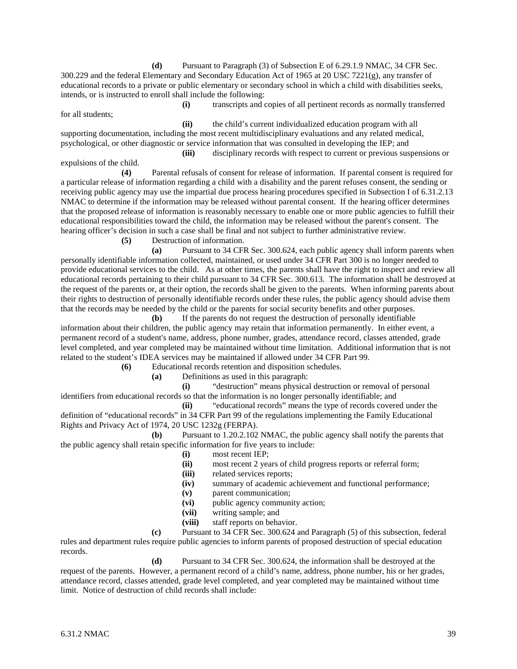**(d)** Pursuant to Paragraph (3) of Subsection E of 6.29.1.9 NMAC, 34 CFR Sec. 300.229 and the federal Elementary and Secondary Education Act of 1965 at 20 USC 7221(g), any transfer of educational records to a private or public elementary or secondary school in which a child with disabilities seeks, intends, or is instructed to enroll shall include the following:

for all students;

**(i)** transcripts and copies of all pertinent records as normally transferred

**(ii)** the child's current individualized education program with all supporting documentation, including the most recent multidisciplinary evaluations and any related medical, psychological, or other diagnostic or service information that was consulted in developing the IEP; and

**(iii)** disciplinary records with respect to current or previous suspensions or expulsions of the child.

**(4)** Parental refusals of consent for release of information. If parental consent is required for a particular release of information regarding a child with a disability and the parent refuses consent, the sending or receiving public agency may use the impartial due process hearing procedures specified in Subsection I of 6.31.2.13 NMAC to determine if the information may be released without parental consent. If the hearing officer determines that the proposed release of information is reasonably necessary to enable one or more public agencies to fulfill their educational responsibilities toward the child, the information may be released without the parent's consent. The hearing officer's decision in such a case shall be final and not subject to further administrative review.

**(5)** Destruction of information.

**(a)** Pursuant to 34 CFR Sec. 300.624, each public agency shall inform parents when personally identifiable information collected, maintained, or used under 34 CFR Part 300 is no longer needed to provide educational services to the child. As at other times, the parents shall have the right to inspect and review all educational records pertaining to their child pursuant to 34 CFR Sec. 300.613. The information shall be destroyed at the request of the parents or, at their option, the records shall be given to the parents. When informing parents about their rights to destruction of personally identifiable records under these rules, the public agency should advise them that the records may be needed by the child or the parents for social security benefits and other purposes.

**(b)** If the parents do not request the destruction of personally identifiable information about their children, the public agency may retain that information permanently. In either event, a permanent record of a student's name, address, phone number, grades, attendance record, classes attended, grade level completed, and year completed may be maintained without time limitation. Additional information that is not related to the student's IDEA services may be maintained if allowed under 34 CFR Part 99.

**(6)** Educational records retention and disposition schedules.

**(a)** Definitions as used in this paragraph:

**(i)** "destruction" means physical destruction or removal of personal identifiers from educational records so that the information is no longer personally identifiable; and

**(ii)** "educational records" means the type of records covered under the definition of "educational records" in 34 CFR Part 99 of the regulations implementing the Family Educational Rights and Privacy Act of 1974, 20 USC 1232g (FERPA).

**(b)** Pursuant to 1.20.2.102 NMAC, the public agency shall notify the parents that the public agency shall retain specific information for five years to include:

- **(i)** most recent IEP;
- **(ii)** most recent 2 years of child progress reports or referral form;
- **(iii)** related services reports;
- **(iv)** summary of academic achievement and functional performance;
- **(v)** parent communication;
- **(vi)** public agency community action;
- **(vii)** writing sample; and
- **(viii)** staff reports on behavior.

**(c)** Pursuant to 34 CFR Sec. 300.624 and Paragraph (5) of this subsection, federal rules and department rules require public agencies to inform parents of proposed destruction of special education records.

**(d)** Pursuant to 34 CFR Sec. 300.624, the information shall be destroyed at the request of the parents. However, a permanent record of a child's name, address, phone number, his or her grades, attendance record, classes attended, grade level completed, and year completed may be maintained without time limit. Notice of destruction of child records shall include: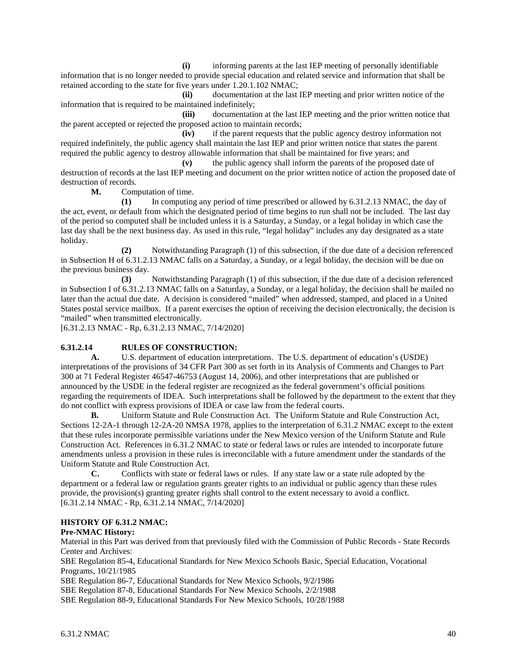**(i)** informing parents at the last IEP meeting of personally identifiable information that is no longer needed to provide special education and related service and information that shall be retained according to the state for five years under 1.20.1.102 NMAC;

**(ii)** documentation at the last IEP meeting and prior written notice of the information that is required to be maintained indefinitely;

**(iii)** documentation at the last IEP meeting and the prior written notice that the parent accepted or rejected the proposed action to maintain records;

**(iv)** if the parent requests that the public agency destroy information not required indefinitely, the public agency shall maintain the last IEP and prior written notice that states the parent required the public agency to destroy allowable information that shall be maintained for five years; and

**(v)** the public agency shall inform the parents of the proposed date of destruction of records at the last IEP meeting and document on the prior written notice of action the proposed date of destruction of records.

**M.** Computation of time.

**(1)** In computing any period of time prescribed or allowed by 6.31.2.13 NMAC, the day of the act, event, or default from which the designated period of time begins to run shall not be included. The last day of the period so computed shall be included unless it is a Saturday, a Sunday, or a legal holiday in which case the last day shall be the next business day. As used in this rule, "legal holiday" includes any day designated as a state holiday.

**(2)** Notwithstanding Paragraph (1) of this subsection, if the due date of a decision referenced in Subsection H of 6.31.2.13 NMAC falls on a Saturday, a Sunday, or a legal holiday, the decision will be due on the previous business day.

**(3)** Notwithstanding Paragraph (1) of this subsection, if the due date of a decision referenced in Subsection I of 6.31.2.13 NMAC falls on a Saturday, a Sunday, or a legal holiday, the decision shall be mailed no later than the actual due date. A decision is considered "mailed" when addressed, stamped, and placed in a United States postal service mailbox. If a parent exercises the option of receiving the decision electronically, the decision is "mailed" when transmitted electronically.

[6.31.2.13 NMAC - Rp, 6.31.2.13 NMAC, 7/14/2020]

# **6.31.2.14 RULES OF CONSTRUCTION:**

**A.** U.S. department of education interpretations. The U.S. department of education's (USDE) interpretations of the provisions of 34 CFR Part 300 as set forth in its Analysis of Comments and Changes to Part 300 at 71 Federal Register 46547-46753 (August 14, 2006), and other interpretations that are published or announced by the USDE in the federal register are recognized as the federal government's official positions regarding the requirements of IDEA. Such interpretations shall be followed by the department to the extent that they do not conflict with express provisions of IDEA or case law from the federal courts.

**B.** Uniform Statute and Rule Construction Act. The Uniform Statute and Rule Construction Act, Sections 12-2A-1 through 12-2A-20 NMSA 1978, applies to the interpretation of 6.31.2 NMAC except to the extent that these rules incorporate permissible variations under the New Mexico version of the Uniform Statute and Rule Construction Act. References in 6.31.2 NMAC to state or federal laws or rules are intended to incorporate future amendments unless a provision in these rules is irreconcilable with a future amendment under the standards of the Uniform Statute and Rule Construction Act.

**C.** Conflicts with state or federal laws or rules. If any state law or a state rule adopted by the department or a federal law or regulation grants greater rights to an individual or public agency than these rules provide, the provision(s) granting greater rights shall control to the extent necessary to avoid a conflict. [6.31.2.14 NMAC - Rp, 6.31.2.14 NMAC, 7/14/2020]

# **HISTORY OF 6.31.2 NMAC:**

# **Pre-NMAC History:**

Material in this Part was derived from that previously filed with the Commission of Public Records - State Records Center and Archives:

SBE Regulation 85-4, Educational Standards for New Mexico Schools Basic, Special Education, Vocational Programs, 10/21/1985

SBE Regulation 86-7, Educational Standards for New Mexico Schools, 9/2/1986

SBE Regulation 87-8, Educational Standards For New Mexico Schools, 2/2/1988

SBE Regulation 88-9, Educational Standards For New Mexico Schools, 10/28/1988